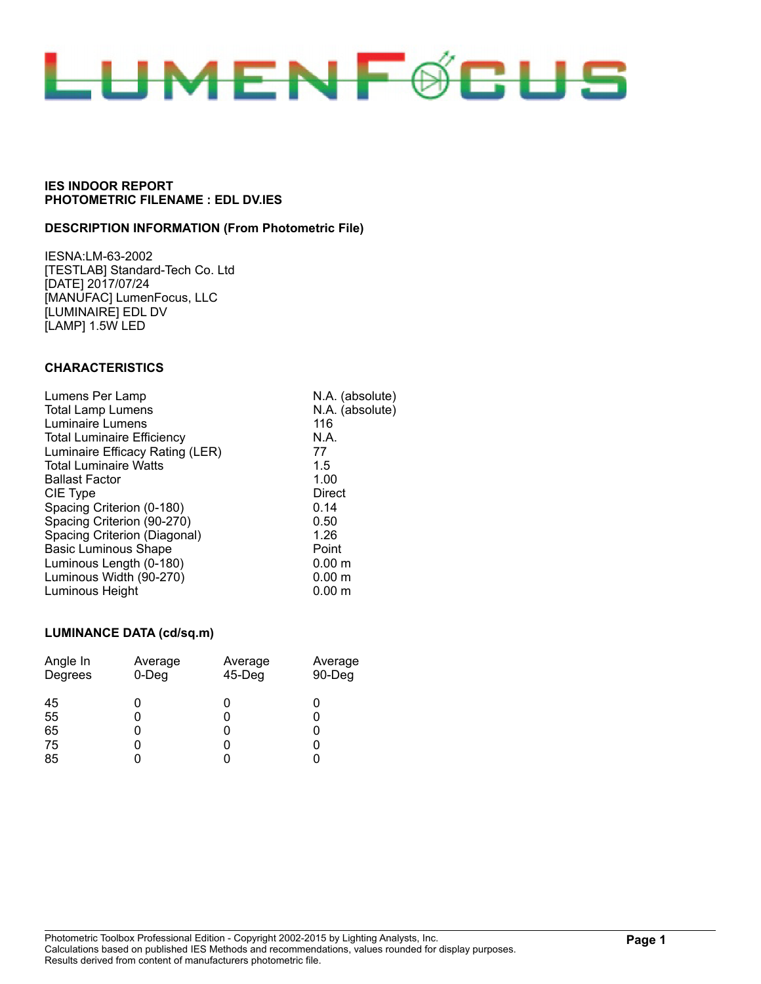

### **DESCRIPTION INFORMATION (From Photometric File)**

IESNA:LM-63-2002 [TESTLAB] Standard-Tech Co. Ltd [DATE] 2017/07/24 [MANUFAC] LumenFocus, LLC [LUMINAIRE] EDL DV [LAMP] 1.5W LED

### **CHARACTERISTICS**

| Lumens Per Lamp                   | N.A. (absolute)   |
|-----------------------------------|-------------------|
| <b>Total Lamp Lumens</b>          | N.A. (absolute)   |
| Luminaire Lumens                  | 116               |
| <b>Total Luminaire Efficiency</b> | N.A.              |
| Luminaire Efficacy Rating (LER)   | 77                |
| <b>Total Luminaire Watts</b>      | 1.5               |
| <b>Ballast Factor</b>             | 1.00              |
| CIE Type                          | Direct            |
| Spacing Criterion (0-180)         | 0.14              |
| Spacing Criterion (90-270)        | 0.50              |
| Spacing Criterion (Diagonal)      | 1.26              |
| <b>Basic Luminous Shape</b>       | Point             |
| Luminous Length (0-180)           | 0.00 m            |
| Luminous Width (90-270)           | 0.00 <sub>m</sub> |
| Luminous Height                   | $0.00 \;{\rm m}$  |

#### **LUMINANCE DATA (cd/sq.m)**

| Angle In<br>Degrees | Average<br>$0$ -Deg | Average<br>45-Deg | Average<br>90-Deg |
|---------------------|---------------------|-------------------|-------------------|
| 45                  | 0                   |                   |                   |
| 55                  | O                   |                   |                   |
| 65                  | 0                   |                   |                   |
| 75                  | 0                   |                   |                   |
| 85                  |                     |                   |                   |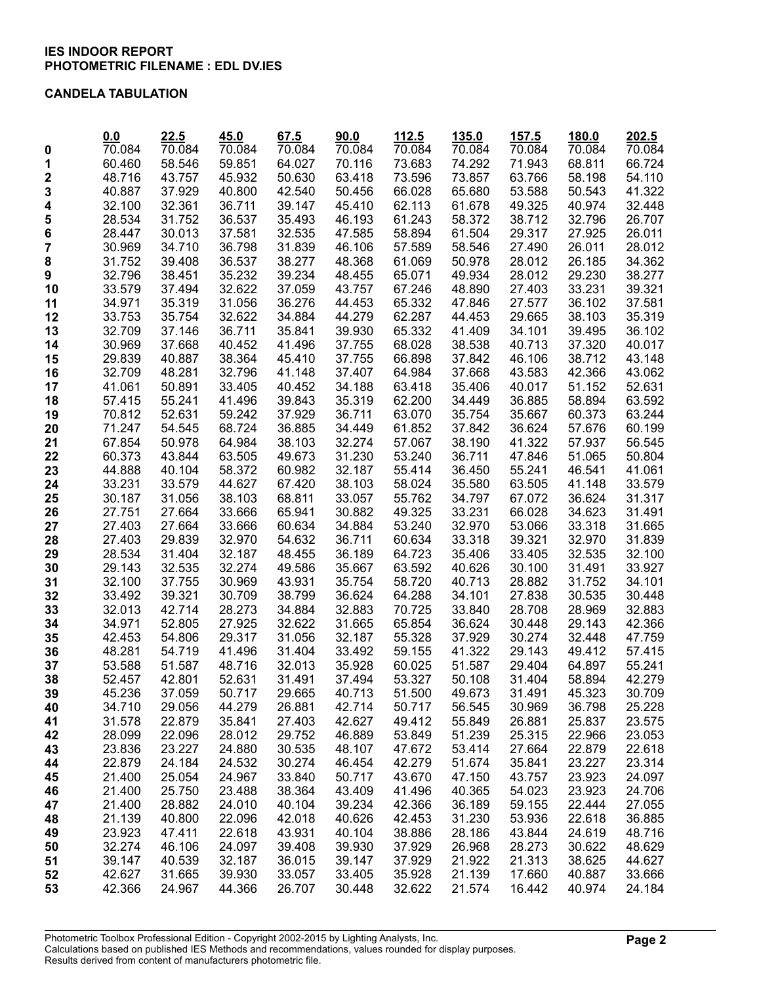### **CANDELA TABULATION**

|          | 0.0              | 22.5             | 45.0             | 67.5             | 90.0             | 112.5            | 135.0            | 157.5            | 180.0            | 202.5            |
|----------|------------------|------------------|------------------|------------------|------------------|------------------|------------------|------------------|------------------|------------------|
| 0        | 70.084           | 70.084           | 70.084           | 70.084           | 70.084           | 70.084           | 70.084           | 70.084           | 70.084           | 70.084           |
| 1        | 60.460           | 58.546           | 59.851           | 64.027           | 70.116           | 73.683           | 74.292           | 71.943           | 68.811           | 66.724           |
| 2        | 48.716           | 43.757           | 45.932           | 50.630           | 63.418           | 73.596           | 73.857           | 63.766           | 58.198           | 54.110           |
| 3        | 40.887           | 37.929           | 40.800           | 42.540           | 50.456           | 66.028           | 65.680           | 53.588           | 50.543           | 41.322           |
| 4        | 32.100           | 32.361           | 36.711           | 39.147           | 45.410           | 62.113           | 61.678           | 49.325           | 40.974           | 32.448           |
| 5        | 28.534           | 31.752           | 36.537           | 35.493           | 46.193           | 61.243           | 58.372           | 38.712           | 32.796           | 26.707           |
| 6        | 28.447           | 30.013           | 37.581           | 32.535           | 47.585           | 58.894           | 61.504           | 29.317           | 27.925           | 26.011           |
| 7        | 30.969           | 34.710           | 36.798           | 31.839           | 46.106           | 57.589           | 58.546           | 27.490           | 26.011           | 28.012           |
| 8        | 31.752           | 39.408           | 36.537           | 38.277           | 48.368           | 61.069           | 50.978           | 28.012           | 26.185           | 34.362           |
| 9        | 32.796           | 38.451           | 35.232           | 39.234           | 48.455           | 65.071           | 49.934           | 28.012           | 29.230           | 38.277           |
| 10       | 33.579           | 37.494           | 32.622           | 37.059           | 43.757           | 67.246           | 48.890           | 27.403           | 33.231           | 39.321           |
| 11       | 34.971           | 35.319           | 31.056           | 36.276           | 44.453           | 65.332           | 47.846           | 27.577           | 36.102           | 37.581           |
| 12       | 33.753           | 35.754           | 32.622           | 34.884           | 44.279           | 62.287           | 44.453           | 29.665           | 38.103           | 35.319           |
| 13       | 32.709           | 37.146           | 36.711           | 35.841           | 39.930           | 65.332           | 41.409           | 34.101           | 39.495           | 36.102           |
| 14       | 30.969           | 37.668           | 40.452           | 41.496           | 37.755           | 68.028           | 38.538           | 40.713           | 37.320           | 40.017           |
| 15       | 29.839           | 40.887           | 38.364           | 45.410           | 37.755           | 66.898           | 37.842           | 46.106           | 38.712           | 43.148           |
| 16       | 32.709           | 48.281           | 32.796           | 41.148           | 37.407           | 64.984           | 37.668           | 43.583           | 42.366           | 43.062           |
| 17       | 41.061           | 50.891           | 33.405           | 40.452           | 34.188           | 63.418           | 35.406           | 40.017           | 51.152           | 52.631           |
| 18       | 57.415           | 55.241           | 41.496           | 39.843           | 35.319           | 62.200           | 34.449           | 36.885           | 58.894           | 63.592           |
| 19       | 70.812           | 52.631           | 59.242           | 37.929           | 36.711           | 63.070           | 35.754           | 35.667           | 60.373           | 63.244           |
| 20       | 71.247           | 54.545           | 68.724           | 36.885           | 34.449           | 61.852           | 37.842           | 36.624           | 57.676           | 60.199           |
| 21       | 67.854           | 50.978           | 64.984           | 38.103           | 32.274           | 57.067           | 38.190           | 41.322           | 57.937           | 56.545           |
| 22       | 60.373           | 43.844           | 63.505           | 49.673           | 31.230           | 53.240           | 36.711           | 47.846           | 51.065           | 50.804           |
| 23       | 44.888           | 40.104           | 58.372           | 60.982           | 32.187           | 55.414           | 36.450           | 55.241           | 46.541           | 41.061           |
| 24       | 33.231           | 33.579           | 44.627           | 67.420           | 38.103           | 58.024           | 35.580           | 63.505           | 41.148           | 33.579           |
| 25       | 30.187           | 31.056           | 38.103           | 68.811           | 33.057           | 55.762           | 34.797           | 67.072           | 36.624           | 31.317           |
| 26       | 27.751           | 27.664           | 33.666           | 65.941           | 30.882           | 49.325           | 33.231           | 66.028           | 34.623           | 31.491           |
| 27       | 27.403           | 27.664           | 33.666           | 60.634           | 34.884           | 53.240           | 32.970           | 53.066           | 33.318           | 31.665           |
| 28       | 27.403           | 29.839           | 32.970           | 54.632           | 36.711           | 60.634           | 33.318           | 39.321           | 32.970           |                  |
|          |                  |                  | 32.187           |                  |                  |                  |                  |                  |                  | 31.839           |
| 29       | 28.534<br>29.143 | 31.404<br>32.535 | 32.274           | 48.455<br>49.586 | 36.189<br>35.667 | 64.723<br>63.592 | 35.406<br>40.626 | 33.405<br>30.100 | 32.535<br>31.491 | 32.100<br>33.927 |
| 30       | 32.100           | 37.755           | 30.969           | 43.931           | 35.754           | 58.720           | 40.713           | 28.882           | 31.752           | 34.101           |
| 31       | 33.492           | 39.321           | 30.709           | 38.799           | 36.624           | 64.288           | 34.101           | 27.838           | 30.535           | 30.448           |
| 32       |                  | 42.714           | 28.273           | 34.884           | 32.883           | 70.725           |                  | 28.708           |                  | 32.883           |
| 33       | 32.013           | 52.805           |                  |                  |                  |                  | 33.840           | 30.448           | 28.969           | 42.366           |
| 34       | 34.971           |                  | 27.925           | 32.622<br>31.056 | 31.665           | 65.854           | 36.624<br>37.929 |                  | 29.143           |                  |
| 35       | 42.453           | 54.806           | 29.317           |                  | 32.187<br>33.492 | 55.328<br>59.155 |                  | 30.274           | 32.448           | 47.759           |
| 36       | 48.281<br>53.588 | 54.719           | 41.496<br>48.716 | 31.404<br>32.013 |                  |                  | 41.322           | 29.143           | 49.412           | 57.415           |
| 37<br>38 |                  | 51.587           |                  |                  | 35.928           | 60.025<br>53.327 | 51.587           | 29.404           | 64.897           | 55.241<br>42.279 |
|          | 52.457           | 42.801           | 52.631           | 31.491           | 37.494           |                  | 50.108           | 31.404           | 58.894           |                  |
| 39       | 45.236           | 37.059           | 50.717           | 29.665           | 40.713           | 51.500           | 49.673           | 31.491           | 45.323           | 30.709           |
| 40       | 34.710           | 29.056           | 44.279           | 26.881           | 42.714           | 50.717           | 56.545           | 30.969           | 36.798           | 25.228           |
| 41       | 31.578           | 22.879           | 35.841           | 27.403           | 42.627           | 49.412           | 55.849           | 26.881           | 25.837           | 23.575           |
| 42       | 28.099           | 22.096           | 28.012           | 29.752           | 46.889           | 53.849           | 51.239           | 25.315           | 22.966           | 23.053           |
| 43       | 23.836           | 23.227           | 24.880           | 30.535           | 48.107           | 47.672           | 53.414           | 27.664           | 22.879           | 22.618           |
| 44       | 22.879           | 24.184           | 24.532           | 30.274           | 46.454           | 42.279           | 51.674           | 35.841           | 23.227           | 23.314           |
| 45       | 21.400           | 25.054           | 24.967           | 33.840           | 50.717           | 43.670           | 47.150           | 43.757           | 23.923           | 24.097           |
| 46       | 21.400           | 25.750           | 23.488           | 38.364           | 43.409           | 41.496           | 40.365           | 54.023           | 23.923           | 24.706           |
| 47       | 21.400           | 28.882           | 24.010           | 40.104           | 39.234           | 42.366           | 36.189           | 59.155           | 22.444           | 27.055           |
| 48       | 21.139           | 40.800           | 22.096           | 42.018           | 40.626           | 42.453           | 31.230           | 53.936           | 22.618           | 36.885           |
| 49       | 23.923           | 47.411           | 22.618           | 43.931           | 40.104           | 38.886           | 28.186           | 43.844           | 24.619           | 48.716           |
| 50       | 32.274           | 46.106           | 24.097           | 39.408           | 39.930           | 37.929           | 26.968           | 28.273           | 30.622           | 48.629           |
| 51       | 39.147           | 40.539           | 32.187           | 36.015           | 39.147           | 37.929           | 21.922           | 21.313           | 38.625           | 44.627           |
| 52       | 42.627           | 31.665           | 39.930           | 33.057           | 33.405           | 35.928           | 21.139           | 17.660           | 40.887           | 33.666           |
| 53       | 42.366           | 24.967           | 44.366           | 26.707           | 30.448           | 32.622           | 21.574           | 16.442           | 40.974           | 24.184           |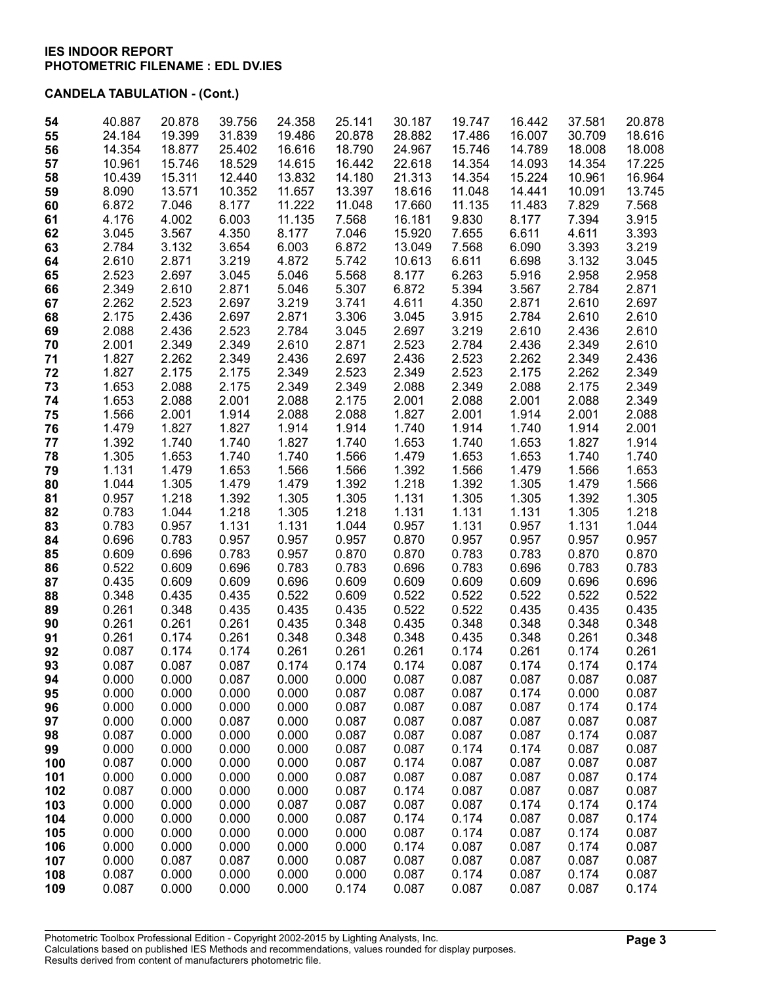| 54       | 40.887         | 20.878         | 39.756         | 24.358         | 25.141         | 30.187           | 19.747         | 16.442         | 37.581         | 20.878         |
|----------|----------------|----------------|----------------|----------------|----------------|------------------|----------------|----------------|----------------|----------------|
| 55       | 24.184         | 19.399         | 31.839         | 19.486         | 20.878         | 28.882           | 17.486         | 16.007         | 30.709         | 18.616         |
| 56       | 14.354         | 18.877         | 25.402         | 16.616         | 18.790         | 24.967           | 15.746         | 14.789         | 18.008         | 18.008         |
| 57       | 10.961         | 15.746         | 18.529         | 14.615         | 16.442         | 22.618           | 14.354         | 14.093         | 14.354         | 17.225         |
| 58       | 10.439         | 15.311         | 12.440         | 13.832         | 14.180         | 21.313           | 14.354         | 15.224         | 10.961         | 16.964         |
| 59       | 8.090          | 13.571         | 10.352         | 11.657         | 13.397         | 18.616           | 11.048         | 14.441         | 10.091         | 13.745         |
| 60       | 6.872          | 7.046          | 8.177          | 11.222         | 11.048         | 17.660           | 11.135         | 11.483         | 7.829          | 7.568          |
| 61       | 4.176          | 4.002          | 6.003          | 11.135         | 7.568          | 16.181           | 9.830          | 8.177          | 7.394          | 3.915          |
| 62       | 3.045          | 3.567          | 4.350          | 8.177<br>6.003 | 7.046          | 15.920<br>13.049 | 7.655          | 6.611          | 4.611<br>3.393 | 3.393          |
| 63       | 2.784          | 3.132          | 3.654          |                | 6.872          |                  | 7.568          | 6.090          |                | 3.219          |
| 64       | 2.610          | 2.871          | 3.219          | 4.872          | 5.742          | 10.613           | 6.611          | 6.698          | 3.132          | 3.045          |
| 65       | 2.523<br>2.349 | 2.697          | 3.045<br>2.871 | 5.046          | 5.568          | 8.177            | 6.263          | 5.916          | 2.958          | 2.958          |
| 66       |                | 2.610<br>2.523 |                | 5.046<br>3.219 | 5.307<br>3.741 | 6.872            | 5.394          | 3.567<br>2.871 | 2.784          | 2.871<br>2.697 |
| 67       | 2.262<br>2.175 | 2.436          | 2.697<br>2.697 | 2.871          | 3.306          | 4.611<br>3.045   | 4.350<br>3.915 | 2.784          | 2.610<br>2.610 | 2.610          |
| 68<br>69 | 2.088          | 2.436          | 2.523          | 2.784          | 3.045          | 2.697            | 3.219          | 2.610          | 2.436          | 2.610          |
| 70       | 2.001          | 2.349          | 2.349          | 2.610          | 2.871          | 2.523            | 2.784          | 2.436          | 2.349          | 2.610          |
| 71       | 1.827          | 2.262          | 2.349          | 2.436          | 2.697          | 2.436            | 2.523          | 2.262          | 2.349          | 2.436          |
| 72       | 1.827          | 2.175          | 2.175          | 2.349          | 2.523          | 2.349            | 2.523          | 2.175          | 2.262          | 2.349          |
| 73       | 1.653          | 2.088          | 2.175          | 2.349          | 2.349          | 2.088            | 2.349          | 2.088          | 2.175          | 2.349          |
| 74       | 1.653          | 2.088          | 2.001          | 2.088          | 2.175          | 2.001            | 2.088          | 2.001          | 2.088          | 2.349          |
| 75       | 1.566          | 2.001          | 1.914          | 2.088          | 2.088          | 1.827            | 2.001          | 1.914          | 2.001          | 2.088          |
| 76       | 1.479          | 1.827          | 1.827          | 1.914          | 1.914          | 1.740            | 1.914          | 1.740          | 1.914          | 2.001          |
| 77       | 1.392          | 1.740          | 1.740          | 1.827          | 1.740          | 1.653            | 1.740          | 1.653          | 1.827          | 1.914          |
| 78       | 1.305          | 1.653          | 1.740          | 1.740          | 1.566          | 1.479            | 1.653          | 1.653          | 1.740          | 1.740          |
| 79       | 1.131          | 1.479          | 1.653          | 1.566          | 1.566          | 1.392            | 1.566          | 1.479          | 1.566          | 1.653          |
| 80       | 1.044          | 1.305          | 1.479          | 1.479          | 1.392          | 1.218            | 1.392          | 1.305          | 1.479          | 1.566          |
| 81       | 0.957          | 1.218          | 1.392          | 1.305          | 1.305          | 1.131            | 1.305          | 1.305          | 1.392          | 1.305          |
| 82       | 0.783          | 1.044          | 1.218          | 1.305          | 1.218          | 1.131            | 1.131          | 1.131          | 1.305          | 1.218          |
| 83       | 0.783          | 0.957          | 1.131          | 1.131          | 1.044          | 0.957            | 1.131          | 0.957          | 1.131          | 1.044          |
| 84       | 0.696          | 0.783          | 0.957          | 0.957          | 0.957          | 0.870            | 0.957          | 0.957          | 0.957          | 0.957          |
| 85       | 0.609          | 0.696          | 0.783          | 0.957          | 0.870          | 0.870            | 0.783          | 0.783          | 0.870          | 0.870          |
| 86       | 0.522          | 0.609          | 0.696          | 0.783          | 0.783          | 0.696            | 0.783          | 0.696          | 0.783          | 0.783          |
| 87       | 0.435          | 0.609          | 0.609          | 0.696          | 0.609          | 0.609            | 0.609          | 0.609          | 0.696          | 0.696          |
| 88       | 0.348          | 0.435          | 0.435          | 0.522          | 0.609          | 0.522            | 0.522          | 0.522          | 0.522          | 0.522          |
| 89       | 0.261          | 0.348          | 0.435          | 0.435          | 0.435          | 0.522            | 0.522          | 0.435          | 0.435          | 0.435          |
| 90       | 0.261          | 0.261          | 0.261          | 0.435          | 0.348          | 0.435            | 0.348          | 0.348          | 0.348          | 0.348          |
| 91       | 0.261          | 0.174          | 0.261          | 0.348          | 0.348          | 0.348            | 0.435          | 0.348          | 0.261          | 0.348          |
| 92       | 0.087          | 0.174          | 0.174          | 0.261          | 0.261          | 0.261            | 0.174          | 0.261          | 0.174          | 0.261          |
| 93       | 0.087          | 0.087          | 0.087          | 0.174          | 0.174          | 0.174            | 0.087          | 0.174          | 0.174          | 0.174          |
| 94       | 0.000          | 0.000          | 0.087          | 0.000          | 0.000          | 0.087            | 0.087          | 0.087          | 0.087          | 0.087          |
| 95       | 0.000          | 0.000          | 0.000          | 0.000          | 0.087          | 0.087            | 0.087          | 0.174          | 0.000          | 0.087          |
| 96       | 0.000          | 0.000          | 0.000          | 0.000          | 0.087          | 0.087            | 0.087          | 0.087          | 0.174          | 0.174          |
| 97       | 0.000          | 0.000          | 0.087          | 0.000          | 0.087          | 0.087            | 0.087          | 0.087          | 0.087          | 0.087          |
| 98       | 0.087          | 0.000          | 0.000          | 0.000          | 0.087          | 0.087            | 0.087          | 0.087          | 0.174          | 0.087          |
| 99       | 0.000          | 0.000          | 0.000          | 0.000          | 0.087          | 0.087            | 0.174          | 0.174          | 0.087          | 0.087          |
| 100      | 0.087          | 0.000          | 0.000          | 0.000          | 0.087          | 0.174            | 0.087          | 0.087          | 0.087          | 0.087          |
| 101      | 0.000          | 0.000          | 0.000          | 0.000          | 0.087          | 0.087            | 0.087          | 0.087          | 0.087          | 0.174          |
| 102      | 0.087          | 0.000          | 0.000          | 0.000          | 0.087          | 0.174            | 0.087          | 0.087          | 0.087          | 0.087          |
| 103      | 0.000          | 0.000          | 0.000          | 0.087          | 0.087          | 0.087            | 0.087          | 0.174          | 0.174          | 0.174          |
| 104      | 0.000          | 0.000          | 0.000          | 0.000          | 0.087          | 0.174            | 0.174          | 0.087          | 0.087          | 0.174          |
| 105      | 0.000          | 0.000          | 0.000          | 0.000          | 0.000          | 0.087            | 0.174          | 0.087          | 0.174          | 0.087          |
| 106      | 0.000          | 0.000          | 0.000          | 0.000          | 0.000          | 0.174            | 0.087          | 0.087          | 0.174          | 0.087          |
| 107      | 0.000          | 0.087          | 0.087          | 0.000          | 0.087          | 0.087            | 0.087          | 0.087          | 0.087          | 0.087          |
| 108      | 0.087          | 0.000          | 0.000          | 0.000          | 0.000          | 0.087            | 0.174          | 0.087          | 0.174          | 0.087          |
| 109      | 0.087          | 0.000          | 0.000          | 0.000          | 0.174          | 0.087            | 0.087          | 0.087          | 0.087          | 0.174          |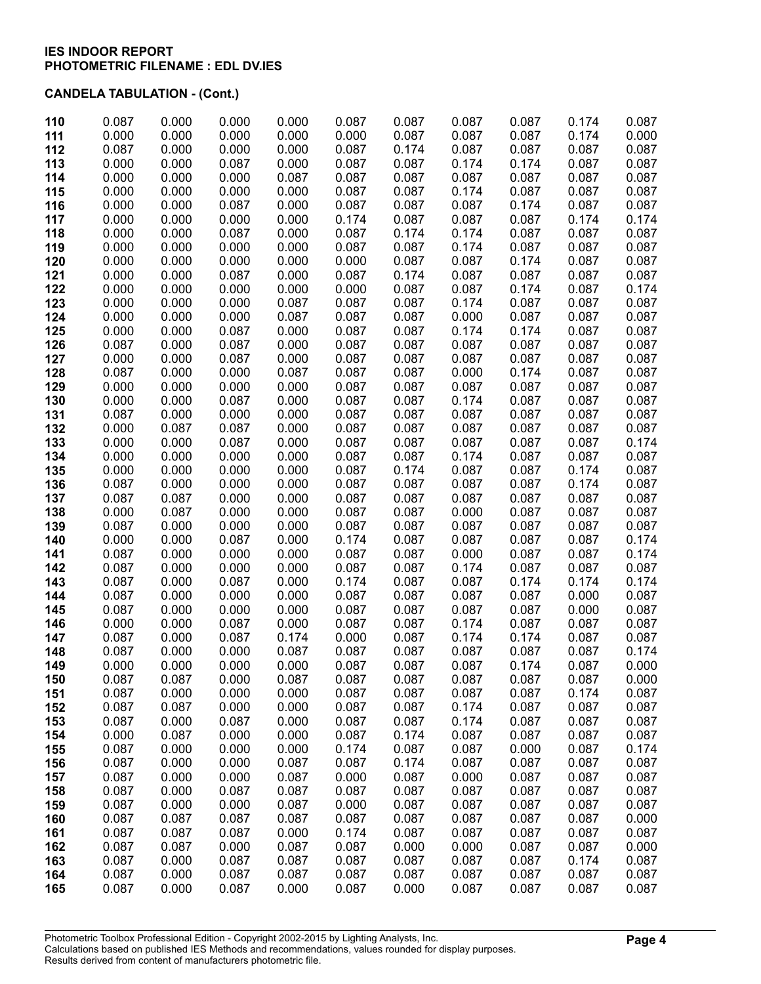| 0.087 | 0.000                                                                                                                                                                                                                                                                                                                                                                                                                                        | 0.000                                                                                                                                                                                                                                                                                                                                                                                                                                                 | 0.000                                                                                                                                                                                                                                                                                                                                                                                                                                                 | 0.087                                                                                                                                                                                                                                                                                                                                                                                                                                                 | 0.087                                                                                                                                                                                                                                                                                                                                                                                                                                                 | 0.087                                                                                                                                                                                                                                                                                                                                                                                                                                                 | 0.087                                                                                                                                                                                                                                                                                                                                                                                                                                        | 0.174                                                                                                                                                                                                                                                                                                                                                                                                                                                 | 0.087                                                                                                                                                                                                                                                                                                                                                                                                                                                 |
|-------|----------------------------------------------------------------------------------------------------------------------------------------------------------------------------------------------------------------------------------------------------------------------------------------------------------------------------------------------------------------------------------------------------------------------------------------------|-------------------------------------------------------------------------------------------------------------------------------------------------------------------------------------------------------------------------------------------------------------------------------------------------------------------------------------------------------------------------------------------------------------------------------------------------------|-------------------------------------------------------------------------------------------------------------------------------------------------------------------------------------------------------------------------------------------------------------------------------------------------------------------------------------------------------------------------------------------------------------------------------------------------------|-------------------------------------------------------------------------------------------------------------------------------------------------------------------------------------------------------------------------------------------------------------------------------------------------------------------------------------------------------------------------------------------------------------------------------------------------------|-------------------------------------------------------------------------------------------------------------------------------------------------------------------------------------------------------------------------------------------------------------------------------------------------------------------------------------------------------------------------------------------------------------------------------------------------------|-------------------------------------------------------------------------------------------------------------------------------------------------------------------------------------------------------------------------------------------------------------------------------------------------------------------------------------------------------------------------------------------------------------------------------------------------------|----------------------------------------------------------------------------------------------------------------------------------------------------------------------------------------------------------------------------------------------------------------------------------------------------------------------------------------------------------------------------------------------------------------------------------------------|-------------------------------------------------------------------------------------------------------------------------------------------------------------------------------------------------------------------------------------------------------------------------------------------------------------------------------------------------------------------------------------------------------------------------------------------------------|-------------------------------------------------------------------------------------------------------------------------------------------------------------------------------------------------------------------------------------------------------------------------------------------------------------------------------------------------------------------------------------------------------------------------------------------------------|
|       |                                                                                                                                                                                                                                                                                                                                                                                                                                              |                                                                                                                                                                                                                                                                                                                                                                                                                                                       |                                                                                                                                                                                                                                                                                                                                                                                                                                                       |                                                                                                                                                                                                                                                                                                                                                                                                                                                       |                                                                                                                                                                                                                                                                                                                                                                                                                                                       |                                                                                                                                                                                                                                                                                                                                                                                                                                                       |                                                                                                                                                                                                                                                                                                                                                                                                                                              |                                                                                                                                                                                                                                                                                                                                                                                                                                                       | 0.000                                                                                                                                                                                                                                                                                                                                                                                                                                                 |
|       |                                                                                                                                                                                                                                                                                                                                                                                                                                              |                                                                                                                                                                                                                                                                                                                                                                                                                                                       |                                                                                                                                                                                                                                                                                                                                                                                                                                                       |                                                                                                                                                                                                                                                                                                                                                                                                                                                       |                                                                                                                                                                                                                                                                                                                                                                                                                                                       |                                                                                                                                                                                                                                                                                                                                                                                                                                                       |                                                                                                                                                                                                                                                                                                                                                                                                                                              |                                                                                                                                                                                                                                                                                                                                                                                                                                                       | 0.087                                                                                                                                                                                                                                                                                                                                                                                                                                                 |
|       |                                                                                                                                                                                                                                                                                                                                                                                                                                              |                                                                                                                                                                                                                                                                                                                                                                                                                                                       |                                                                                                                                                                                                                                                                                                                                                                                                                                                       |                                                                                                                                                                                                                                                                                                                                                                                                                                                       |                                                                                                                                                                                                                                                                                                                                                                                                                                                       |                                                                                                                                                                                                                                                                                                                                                                                                                                                       |                                                                                                                                                                                                                                                                                                                                                                                                                                              |                                                                                                                                                                                                                                                                                                                                                                                                                                                       | 0.087                                                                                                                                                                                                                                                                                                                                                                                                                                                 |
|       |                                                                                                                                                                                                                                                                                                                                                                                                                                              |                                                                                                                                                                                                                                                                                                                                                                                                                                                       |                                                                                                                                                                                                                                                                                                                                                                                                                                                       |                                                                                                                                                                                                                                                                                                                                                                                                                                                       |                                                                                                                                                                                                                                                                                                                                                                                                                                                       |                                                                                                                                                                                                                                                                                                                                                                                                                                                       |                                                                                                                                                                                                                                                                                                                                                                                                                                              |                                                                                                                                                                                                                                                                                                                                                                                                                                                       | 0.087                                                                                                                                                                                                                                                                                                                                                                                                                                                 |
|       |                                                                                                                                                                                                                                                                                                                                                                                                                                              |                                                                                                                                                                                                                                                                                                                                                                                                                                                       |                                                                                                                                                                                                                                                                                                                                                                                                                                                       |                                                                                                                                                                                                                                                                                                                                                                                                                                                       |                                                                                                                                                                                                                                                                                                                                                                                                                                                       |                                                                                                                                                                                                                                                                                                                                                                                                                                                       |                                                                                                                                                                                                                                                                                                                                                                                                                                              |                                                                                                                                                                                                                                                                                                                                                                                                                                                       | 0.087                                                                                                                                                                                                                                                                                                                                                                                                                                                 |
|       |                                                                                                                                                                                                                                                                                                                                                                                                                                              |                                                                                                                                                                                                                                                                                                                                                                                                                                                       |                                                                                                                                                                                                                                                                                                                                                                                                                                                       |                                                                                                                                                                                                                                                                                                                                                                                                                                                       |                                                                                                                                                                                                                                                                                                                                                                                                                                                       |                                                                                                                                                                                                                                                                                                                                                                                                                                                       |                                                                                                                                                                                                                                                                                                                                                                                                                                              |                                                                                                                                                                                                                                                                                                                                                                                                                                                       | 0.087                                                                                                                                                                                                                                                                                                                                                                                                                                                 |
|       |                                                                                                                                                                                                                                                                                                                                                                                                                                              |                                                                                                                                                                                                                                                                                                                                                                                                                                                       |                                                                                                                                                                                                                                                                                                                                                                                                                                                       |                                                                                                                                                                                                                                                                                                                                                                                                                                                       |                                                                                                                                                                                                                                                                                                                                                                                                                                                       |                                                                                                                                                                                                                                                                                                                                                                                                                                                       |                                                                                                                                                                                                                                                                                                                                                                                                                                              |                                                                                                                                                                                                                                                                                                                                                                                                                                                       | 0.174                                                                                                                                                                                                                                                                                                                                                                                                                                                 |
|       |                                                                                                                                                                                                                                                                                                                                                                                                                                              |                                                                                                                                                                                                                                                                                                                                                                                                                                                       |                                                                                                                                                                                                                                                                                                                                                                                                                                                       |                                                                                                                                                                                                                                                                                                                                                                                                                                                       |                                                                                                                                                                                                                                                                                                                                                                                                                                                       |                                                                                                                                                                                                                                                                                                                                                                                                                                                       |                                                                                                                                                                                                                                                                                                                                                                                                                                              |                                                                                                                                                                                                                                                                                                                                                                                                                                                       | 0.087                                                                                                                                                                                                                                                                                                                                                                                                                                                 |
|       |                                                                                                                                                                                                                                                                                                                                                                                                                                              |                                                                                                                                                                                                                                                                                                                                                                                                                                                       |                                                                                                                                                                                                                                                                                                                                                                                                                                                       |                                                                                                                                                                                                                                                                                                                                                                                                                                                       |                                                                                                                                                                                                                                                                                                                                                                                                                                                       |                                                                                                                                                                                                                                                                                                                                                                                                                                                       |                                                                                                                                                                                                                                                                                                                                                                                                                                              |                                                                                                                                                                                                                                                                                                                                                                                                                                                       | 0.087<br>0.087                                                                                                                                                                                                                                                                                                                                                                                                                                        |
|       |                                                                                                                                                                                                                                                                                                                                                                                                                                              |                                                                                                                                                                                                                                                                                                                                                                                                                                                       |                                                                                                                                                                                                                                                                                                                                                                                                                                                       |                                                                                                                                                                                                                                                                                                                                                                                                                                                       |                                                                                                                                                                                                                                                                                                                                                                                                                                                       |                                                                                                                                                                                                                                                                                                                                                                                                                                                       |                                                                                                                                                                                                                                                                                                                                                                                                                                              |                                                                                                                                                                                                                                                                                                                                                                                                                                                       | 0.087                                                                                                                                                                                                                                                                                                                                                                                                                                                 |
|       |                                                                                                                                                                                                                                                                                                                                                                                                                                              |                                                                                                                                                                                                                                                                                                                                                                                                                                                       |                                                                                                                                                                                                                                                                                                                                                                                                                                                       |                                                                                                                                                                                                                                                                                                                                                                                                                                                       |                                                                                                                                                                                                                                                                                                                                                                                                                                                       |                                                                                                                                                                                                                                                                                                                                                                                                                                                       |                                                                                                                                                                                                                                                                                                                                                                                                                                              |                                                                                                                                                                                                                                                                                                                                                                                                                                                       | 0.174                                                                                                                                                                                                                                                                                                                                                                                                                                                 |
|       |                                                                                                                                                                                                                                                                                                                                                                                                                                              |                                                                                                                                                                                                                                                                                                                                                                                                                                                       |                                                                                                                                                                                                                                                                                                                                                                                                                                                       |                                                                                                                                                                                                                                                                                                                                                                                                                                                       |                                                                                                                                                                                                                                                                                                                                                                                                                                                       |                                                                                                                                                                                                                                                                                                                                                                                                                                                       |                                                                                                                                                                                                                                                                                                                                                                                                                                              |                                                                                                                                                                                                                                                                                                                                                                                                                                                       | 0.087                                                                                                                                                                                                                                                                                                                                                                                                                                                 |
|       |                                                                                                                                                                                                                                                                                                                                                                                                                                              |                                                                                                                                                                                                                                                                                                                                                                                                                                                       |                                                                                                                                                                                                                                                                                                                                                                                                                                                       |                                                                                                                                                                                                                                                                                                                                                                                                                                                       |                                                                                                                                                                                                                                                                                                                                                                                                                                                       |                                                                                                                                                                                                                                                                                                                                                                                                                                                       |                                                                                                                                                                                                                                                                                                                                                                                                                                              |                                                                                                                                                                                                                                                                                                                                                                                                                                                       | 0.087                                                                                                                                                                                                                                                                                                                                                                                                                                                 |
|       |                                                                                                                                                                                                                                                                                                                                                                                                                                              |                                                                                                                                                                                                                                                                                                                                                                                                                                                       |                                                                                                                                                                                                                                                                                                                                                                                                                                                       |                                                                                                                                                                                                                                                                                                                                                                                                                                                       |                                                                                                                                                                                                                                                                                                                                                                                                                                                       |                                                                                                                                                                                                                                                                                                                                                                                                                                                       |                                                                                                                                                                                                                                                                                                                                                                                                                                              |                                                                                                                                                                                                                                                                                                                                                                                                                                                       | 0.087                                                                                                                                                                                                                                                                                                                                                                                                                                                 |
|       |                                                                                                                                                                                                                                                                                                                                                                                                                                              |                                                                                                                                                                                                                                                                                                                                                                                                                                                       |                                                                                                                                                                                                                                                                                                                                                                                                                                                       |                                                                                                                                                                                                                                                                                                                                                                                                                                                       |                                                                                                                                                                                                                                                                                                                                                                                                                                                       |                                                                                                                                                                                                                                                                                                                                                                                                                                                       |                                                                                                                                                                                                                                                                                                                                                                                                                                              |                                                                                                                                                                                                                                                                                                                                                                                                                                                       | 0.087                                                                                                                                                                                                                                                                                                                                                                                                                                                 |
|       |                                                                                                                                                                                                                                                                                                                                                                                                                                              |                                                                                                                                                                                                                                                                                                                                                                                                                                                       |                                                                                                                                                                                                                                                                                                                                                                                                                                                       |                                                                                                                                                                                                                                                                                                                                                                                                                                                       |                                                                                                                                                                                                                                                                                                                                                                                                                                                       |                                                                                                                                                                                                                                                                                                                                                                                                                                                       |                                                                                                                                                                                                                                                                                                                                                                                                                                              |                                                                                                                                                                                                                                                                                                                                                                                                                                                       | 0.087                                                                                                                                                                                                                                                                                                                                                                                                                                                 |
|       |                                                                                                                                                                                                                                                                                                                                                                                                                                              |                                                                                                                                                                                                                                                                                                                                                                                                                                                       |                                                                                                                                                                                                                                                                                                                                                                                                                                                       |                                                                                                                                                                                                                                                                                                                                                                                                                                                       |                                                                                                                                                                                                                                                                                                                                                                                                                                                       |                                                                                                                                                                                                                                                                                                                                                                                                                                                       |                                                                                                                                                                                                                                                                                                                                                                                                                                              |                                                                                                                                                                                                                                                                                                                                                                                                                                                       | 0.087                                                                                                                                                                                                                                                                                                                                                                                                                                                 |
|       |                                                                                                                                                                                                                                                                                                                                                                                                                                              |                                                                                                                                                                                                                                                                                                                                                                                                                                                       |                                                                                                                                                                                                                                                                                                                                                                                                                                                       |                                                                                                                                                                                                                                                                                                                                                                                                                                                       |                                                                                                                                                                                                                                                                                                                                                                                                                                                       |                                                                                                                                                                                                                                                                                                                                                                                                                                                       |                                                                                                                                                                                                                                                                                                                                                                                                                                              |                                                                                                                                                                                                                                                                                                                                                                                                                                                       | 0.087                                                                                                                                                                                                                                                                                                                                                                                                                                                 |
|       |                                                                                                                                                                                                                                                                                                                                                                                                                                              |                                                                                                                                                                                                                                                                                                                                                                                                                                                       |                                                                                                                                                                                                                                                                                                                                                                                                                                                       |                                                                                                                                                                                                                                                                                                                                                                                                                                                       |                                                                                                                                                                                                                                                                                                                                                                                                                                                       |                                                                                                                                                                                                                                                                                                                                                                                                                                                       |                                                                                                                                                                                                                                                                                                                                                                                                                                              |                                                                                                                                                                                                                                                                                                                                                                                                                                                       | 0.087                                                                                                                                                                                                                                                                                                                                                                                                                                                 |
|       |                                                                                                                                                                                                                                                                                                                                                                                                                                              |                                                                                                                                                                                                                                                                                                                                                                                                                                                       |                                                                                                                                                                                                                                                                                                                                                                                                                                                       |                                                                                                                                                                                                                                                                                                                                                                                                                                                       |                                                                                                                                                                                                                                                                                                                                                                                                                                                       |                                                                                                                                                                                                                                                                                                                                                                                                                                                       |                                                                                                                                                                                                                                                                                                                                                                                                                                              |                                                                                                                                                                                                                                                                                                                                                                                                                                                       | 0.087                                                                                                                                                                                                                                                                                                                                                                                                                                                 |
|       |                                                                                                                                                                                                                                                                                                                                                                                                                                              |                                                                                                                                                                                                                                                                                                                                                                                                                                                       |                                                                                                                                                                                                                                                                                                                                                                                                                                                       |                                                                                                                                                                                                                                                                                                                                                                                                                                                       |                                                                                                                                                                                                                                                                                                                                                                                                                                                       |                                                                                                                                                                                                                                                                                                                                                                                                                                                       |                                                                                                                                                                                                                                                                                                                                                                                                                                              |                                                                                                                                                                                                                                                                                                                                                                                                                                                       | 0.087                                                                                                                                                                                                                                                                                                                                                                                                                                                 |
|       |                                                                                                                                                                                                                                                                                                                                                                                                                                              |                                                                                                                                                                                                                                                                                                                                                                                                                                                       |                                                                                                                                                                                                                                                                                                                                                                                                                                                       |                                                                                                                                                                                                                                                                                                                                                                                                                                                       |                                                                                                                                                                                                                                                                                                                                                                                                                                                       |                                                                                                                                                                                                                                                                                                                                                                                                                                                       |                                                                                                                                                                                                                                                                                                                                                                                                                                              |                                                                                                                                                                                                                                                                                                                                                                                                                                                       | 0.174                                                                                                                                                                                                                                                                                                                                                                                                                                                 |
|       |                                                                                                                                                                                                                                                                                                                                                                                                                                              |                                                                                                                                                                                                                                                                                                                                                                                                                                                       |                                                                                                                                                                                                                                                                                                                                                                                                                                                       |                                                                                                                                                                                                                                                                                                                                                                                                                                                       |                                                                                                                                                                                                                                                                                                                                                                                                                                                       |                                                                                                                                                                                                                                                                                                                                                                                                                                                       |                                                                                                                                                                                                                                                                                                                                                                                                                                              |                                                                                                                                                                                                                                                                                                                                                                                                                                                       | 0.087                                                                                                                                                                                                                                                                                                                                                                                                                                                 |
|       |                                                                                                                                                                                                                                                                                                                                                                                                                                              |                                                                                                                                                                                                                                                                                                                                                                                                                                                       |                                                                                                                                                                                                                                                                                                                                                                                                                                                       |                                                                                                                                                                                                                                                                                                                                                                                                                                                       |                                                                                                                                                                                                                                                                                                                                                                                                                                                       |                                                                                                                                                                                                                                                                                                                                                                                                                                                       |                                                                                                                                                                                                                                                                                                                                                                                                                                              |                                                                                                                                                                                                                                                                                                                                                                                                                                                       | 0.087                                                                                                                                                                                                                                                                                                                                                                                                                                                 |
|       |                                                                                                                                                                                                                                                                                                                                                                                                                                              |                                                                                                                                                                                                                                                                                                                                                                                                                                                       |                                                                                                                                                                                                                                                                                                                                                                                                                                                       |                                                                                                                                                                                                                                                                                                                                                                                                                                                       |                                                                                                                                                                                                                                                                                                                                                                                                                                                       |                                                                                                                                                                                                                                                                                                                                                                                                                                                       |                                                                                                                                                                                                                                                                                                                                                                                                                                              |                                                                                                                                                                                                                                                                                                                                                                                                                                                       | 0.087                                                                                                                                                                                                                                                                                                                                                                                                                                                 |
| 0.087 | 0.087                                                                                                                                                                                                                                                                                                                                                                                                                                        | 0.000                                                                                                                                                                                                                                                                                                                                                                                                                                                 | 0.000                                                                                                                                                                                                                                                                                                                                                                                                                                                 | 0.087                                                                                                                                                                                                                                                                                                                                                                                                                                                 | 0.087                                                                                                                                                                                                                                                                                                                                                                                                                                                 | 0.087                                                                                                                                                                                                                                                                                                                                                                                                                                                 | 0.087                                                                                                                                                                                                                                                                                                                                                                                                                                        | 0.087                                                                                                                                                                                                                                                                                                                                                                                                                                                 | 0.087                                                                                                                                                                                                                                                                                                                                                                                                                                                 |
| 0.000 | 0.087                                                                                                                                                                                                                                                                                                                                                                                                                                        | 0.000                                                                                                                                                                                                                                                                                                                                                                                                                                                 | 0.000                                                                                                                                                                                                                                                                                                                                                                                                                                                 | 0.087                                                                                                                                                                                                                                                                                                                                                                                                                                                 | 0.087                                                                                                                                                                                                                                                                                                                                                                                                                                                 | 0.000                                                                                                                                                                                                                                                                                                                                                                                                                                                 | 0.087                                                                                                                                                                                                                                                                                                                                                                                                                                        | 0.087                                                                                                                                                                                                                                                                                                                                                                                                                                                 | 0.087                                                                                                                                                                                                                                                                                                                                                                                                                                                 |
| 0.087 | 0.000                                                                                                                                                                                                                                                                                                                                                                                                                                        | 0.000                                                                                                                                                                                                                                                                                                                                                                                                                                                 | 0.000                                                                                                                                                                                                                                                                                                                                                                                                                                                 | 0.087                                                                                                                                                                                                                                                                                                                                                                                                                                                 | 0.087                                                                                                                                                                                                                                                                                                                                                                                                                                                 | 0.087                                                                                                                                                                                                                                                                                                                                                                                                                                                 | 0.087                                                                                                                                                                                                                                                                                                                                                                                                                                        | 0.087                                                                                                                                                                                                                                                                                                                                                                                                                                                 | 0.087                                                                                                                                                                                                                                                                                                                                                                                                                                                 |
| 0.000 | 0.000                                                                                                                                                                                                                                                                                                                                                                                                                                        | 0.087                                                                                                                                                                                                                                                                                                                                                                                                                                                 | 0.000                                                                                                                                                                                                                                                                                                                                                                                                                                                 | 0.174                                                                                                                                                                                                                                                                                                                                                                                                                                                 | 0.087                                                                                                                                                                                                                                                                                                                                                                                                                                                 | 0.087                                                                                                                                                                                                                                                                                                                                                                                                                                                 | 0.087                                                                                                                                                                                                                                                                                                                                                                                                                                        | 0.087                                                                                                                                                                                                                                                                                                                                                                                                                                                 | 0.174                                                                                                                                                                                                                                                                                                                                                                                                                                                 |
| 0.087 | 0.000                                                                                                                                                                                                                                                                                                                                                                                                                                        | 0.000                                                                                                                                                                                                                                                                                                                                                                                                                                                 | 0.000                                                                                                                                                                                                                                                                                                                                                                                                                                                 | 0.087                                                                                                                                                                                                                                                                                                                                                                                                                                                 | 0.087                                                                                                                                                                                                                                                                                                                                                                                                                                                 | 0.000                                                                                                                                                                                                                                                                                                                                                                                                                                                 | 0.087                                                                                                                                                                                                                                                                                                                                                                                                                                        | 0.087                                                                                                                                                                                                                                                                                                                                                                                                                                                 | 0.174                                                                                                                                                                                                                                                                                                                                                                                                                                                 |
| 0.087 |                                                                                                                                                                                                                                                                                                                                                                                                                                              |                                                                                                                                                                                                                                                                                                                                                                                                                                                       |                                                                                                                                                                                                                                                                                                                                                                                                                                                       |                                                                                                                                                                                                                                                                                                                                                                                                                                                       |                                                                                                                                                                                                                                                                                                                                                                                                                                                       | 0.174                                                                                                                                                                                                                                                                                                                                                                                                                                                 |                                                                                                                                                                                                                                                                                                                                                                                                                                              |                                                                                                                                                                                                                                                                                                                                                                                                                                                       | 0.087                                                                                                                                                                                                                                                                                                                                                                                                                                                 |
|       |                                                                                                                                                                                                                                                                                                                                                                                                                                              |                                                                                                                                                                                                                                                                                                                                                                                                                                                       |                                                                                                                                                                                                                                                                                                                                                                                                                                                       |                                                                                                                                                                                                                                                                                                                                                                                                                                                       |                                                                                                                                                                                                                                                                                                                                                                                                                                                       |                                                                                                                                                                                                                                                                                                                                                                                                                                                       |                                                                                                                                                                                                                                                                                                                                                                                                                                              |                                                                                                                                                                                                                                                                                                                                                                                                                                                       | 0.174                                                                                                                                                                                                                                                                                                                                                                                                                                                 |
|       |                                                                                                                                                                                                                                                                                                                                                                                                                                              |                                                                                                                                                                                                                                                                                                                                                                                                                                                       |                                                                                                                                                                                                                                                                                                                                                                                                                                                       |                                                                                                                                                                                                                                                                                                                                                                                                                                                       |                                                                                                                                                                                                                                                                                                                                                                                                                                                       |                                                                                                                                                                                                                                                                                                                                                                                                                                                       |                                                                                                                                                                                                                                                                                                                                                                                                                                              |                                                                                                                                                                                                                                                                                                                                                                                                                                                       | 0.087                                                                                                                                                                                                                                                                                                                                                                                                                                                 |
|       |                                                                                                                                                                                                                                                                                                                                                                                                                                              |                                                                                                                                                                                                                                                                                                                                                                                                                                                       |                                                                                                                                                                                                                                                                                                                                                                                                                                                       |                                                                                                                                                                                                                                                                                                                                                                                                                                                       |                                                                                                                                                                                                                                                                                                                                                                                                                                                       |                                                                                                                                                                                                                                                                                                                                                                                                                                                       |                                                                                                                                                                                                                                                                                                                                                                                                                                              |                                                                                                                                                                                                                                                                                                                                                                                                                                                       | 0.087                                                                                                                                                                                                                                                                                                                                                                                                                                                 |
|       |                                                                                                                                                                                                                                                                                                                                                                                                                                              |                                                                                                                                                                                                                                                                                                                                                                                                                                                       |                                                                                                                                                                                                                                                                                                                                                                                                                                                       |                                                                                                                                                                                                                                                                                                                                                                                                                                                       |                                                                                                                                                                                                                                                                                                                                                                                                                                                       |                                                                                                                                                                                                                                                                                                                                                                                                                                                       |                                                                                                                                                                                                                                                                                                                                                                                                                                              |                                                                                                                                                                                                                                                                                                                                                                                                                                                       | 0.087                                                                                                                                                                                                                                                                                                                                                                                                                                                 |
|       |                                                                                                                                                                                                                                                                                                                                                                                                                                              |                                                                                                                                                                                                                                                                                                                                                                                                                                                       |                                                                                                                                                                                                                                                                                                                                                                                                                                                       |                                                                                                                                                                                                                                                                                                                                                                                                                                                       |                                                                                                                                                                                                                                                                                                                                                                                                                                                       |                                                                                                                                                                                                                                                                                                                                                                                                                                                       |                                                                                                                                                                                                                                                                                                                                                                                                                                              |                                                                                                                                                                                                                                                                                                                                                                                                                                                       | 0.087                                                                                                                                                                                                                                                                                                                                                                                                                                                 |
|       |                                                                                                                                                                                                                                                                                                                                                                                                                                              |                                                                                                                                                                                                                                                                                                                                                                                                                                                       |                                                                                                                                                                                                                                                                                                                                                                                                                                                       |                                                                                                                                                                                                                                                                                                                                                                                                                                                       |                                                                                                                                                                                                                                                                                                                                                                                                                                                       |                                                                                                                                                                                                                                                                                                                                                                                                                                                       |                                                                                                                                                                                                                                                                                                                                                                                                                                              |                                                                                                                                                                                                                                                                                                                                                                                                                                                       | 0.174                                                                                                                                                                                                                                                                                                                                                                                                                                                 |
|       |                                                                                                                                                                                                                                                                                                                                                                                                                                              |                                                                                                                                                                                                                                                                                                                                                                                                                                                       |                                                                                                                                                                                                                                                                                                                                                                                                                                                       |                                                                                                                                                                                                                                                                                                                                                                                                                                                       |                                                                                                                                                                                                                                                                                                                                                                                                                                                       |                                                                                                                                                                                                                                                                                                                                                                                                                                                       |                                                                                                                                                                                                                                                                                                                                                                                                                                              |                                                                                                                                                                                                                                                                                                                                                                                                                                                       | 0.000                                                                                                                                                                                                                                                                                                                                                                                                                                                 |
|       |                                                                                                                                                                                                                                                                                                                                                                                                                                              |                                                                                                                                                                                                                                                                                                                                                                                                                                                       |                                                                                                                                                                                                                                                                                                                                                                                                                                                       |                                                                                                                                                                                                                                                                                                                                                                                                                                                       |                                                                                                                                                                                                                                                                                                                                                                                                                                                       |                                                                                                                                                                                                                                                                                                                                                                                                                                                       |                                                                                                                                                                                                                                                                                                                                                                                                                                              |                                                                                                                                                                                                                                                                                                                                                                                                                                                       | 0.000                                                                                                                                                                                                                                                                                                                                                                                                                                                 |
|       |                                                                                                                                                                                                                                                                                                                                                                                                                                              |                                                                                                                                                                                                                                                                                                                                                                                                                                                       |                                                                                                                                                                                                                                                                                                                                                                                                                                                       |                                                                                                                                                                                                                                                                                                                                                                                                                                                       |                                                                                                                                                                                                                                                                                                                                                                                                                                                       |                                                                                                                                                                                                                                                                                                                                                                                                                                                       |                                                                                                                                                                                                                                                                                                                                                                                                                                              |                                                                                                                                                                                                                                                                                                                                                                                                                                                       | 0.087                                                                                                                                                                                                                                                                                                                                                                                                                                                 |
|       |                                                                                                                                                                                                                                                                                                                                                                                                                                              |                                                                                                                                                                                                                                                                                                                                                                                                                                                       |                                                                                                                                                                                                                                                                                                                                                                                                                                                       |                                                                                                                                                                                                                                                                                                                                                                                                                                                       |                                                                                                                                                                                                                                                                                                                                                                                                                                                       |                                                                                                                                                                                                                                                                                                                                                                                                                                                       |                                                                                                                                                                                                                                                                                                                                                                                                                                              |                                                                                                                                                                                                                                                                                                                                                                                                                                                       | 0.087                                                                                                                                                                                                                                                                                                                                                                                                                                                 |
|       |                                                                                                                                                                                                                                                                                                                                                                                                                                              |                                                                                                                                                                                                                                                                                                                                                                                                                                                       |                                                                                                                                                                                                                                                                                                                                                                                                                                                       |                                                                                                                                                                                                                                                                                                                                                                                                                                                       |                                                                                                                                                                                                                                                                                                                                                                                                                                                       |                                                                                                                                                                                                                                                                                                                                                                                                                                                       |                                                                                                                                                                                                                                                                                                                                                                                                                                              |                                                                                                                                                                                                                                                                                                                                                                                                                                                       | 0.087<br>0.087                                                                                                                                                                                                                                                                                                                                                                                                                                        |
|       |                                                                                                                                                                                                                                                                                                                                                                                                                                              |                                                                                                                                                                                                                                                                                                                                                                                                                                                       |                                                                                                                                                                                                                                                                                                                                                                                                                                                       |                                                                                                                                                                                                                                                                                                                                                                                                                                                       |                                                                                                                                                                                                                                                                                                                                                                                                                                                       |                                                                                                                                                                                                                                                                                                                                                                                                                                                       |                                                                                                                                                                                                                                                                                                                                                                                                                                              |                                                                                                                                                                                                                                                                                                                                                                                                                                                       | 0.174                                                                                                                                                                                                                                                                                                                                                                                                                                                 |
|       |                                                                                                                                                                                                                                                                                                                                                                                                                                              |                                                                                                                                                                                                                                                                                                                                                                                                                                                       |                                                                                                                                                                                                                                                                                                                                                                                                                                                       |                                                                                                                                                                                                                                                                                                                                                                                                                                                       |                                                                                                                                                                                                                                                                                                                                                                                                                                                       |                                                                                                                                                                                                                                                                                                                                                                                                                                                       |                                                                                                                                                                                                                                                                                                                                                                                                                                              |                                                                                                                                                                                                                                                                                                                                                                                                                                                       | 0.087                                                                                                                                                                                                                                                                                                                                                                                                                                                 |
|       |                                                                                                                                                                                                                                                                                                                                                                                                                                              |                                                                                                                                                                                                                                                                                                                                                                                                                                                       |                                                                                                                                                                                                                                                                                                                                                                                                                                                       |                                                                                                                                                                                                                                                                                                                                                                                                                                                       |                                                                                                                                                                                                                                                                                                                                                                                                                                                       |                                                                                                                                                                                                                                                                                                                                                                                                                                                       |                                                                                                                                                                                                                                                                                                                                                                                                                                              |                                                                                                                                                                                                                                                                                                                                                                                                                                                       | 0.087                                                                                                                                                                                                                                                                                                                                                                                                                                                 |
|       |                                                                                                                                                                                                                                                                                                                                                                                                                                              |                                                                                                                                                                                                                                                                                                                                                                                                                                                       |                                                                                                                                                                                                                                                                                                                                                                                                                                                       |                                                                                                                                                                                                                                                                                                                                                                                                                                                       |                                                                                                                                                                                                                                                                                                                                                                                                                                                       |                                                                                                                                                                                                                                                                                                                                                                                                                                                       |                                                                                                                                                                                                                                                                                                                                                                                                                                              |                                                                                                                                                                                                                                                                                                                                                                                                                                                       | 0.087                                                                                                                                                                                                                                                                                                                                                                                                                                                 |
|       |                                                                                                                                                                                                                                                                                                                                                                                                                                              |                                                                                                                                                                                                                                                                                                                                                                                                                                                       |                                                                                                                                                                                                                                                                                                                                                                                                                                                       |                                                                                                                                                                                                                                                                                                                                                                                                                                                       |                                                                                                                                                                                                                                                                                                                                                                                                                                                       |                                                                                                                                                                                                                                                                                                                                                                                                                                                       |                                                                                                                                                                                                                                                                                                                                                                                                                                              |                                                                                                                                                                                                                                                                                                                                                                                                                                                       | 0.087                                                                                                                                                                                                                                                                                                                                                                                                                                                 |
|       |                                                                                                                                                                                                                                                                                                                                                                                                                                              |                                                                                                                                                                                                                                                                                                                                                                                                                                                       |                                                                                                                                                                                                                                                                                                                                                                                                                                                       |                                                                                                                                                                                                                                                                                                                                                                                                                                                       |                                                                                                                                                                                                                                                                                                                                                                                                                                                       |                                                                                                                                                                                                                                                                                                                                                                                                                                                       |                                                                                                                                                                                                                                                                                                                                                                                                                                              |                                                                                                                                                                                                                                                                                                                                                                                                                                                       | 0.000                                                                                                                                                                                                                                                                                                                                                                                                                                                 |
|       |                                                                                                                                                                                                                                                                                                                                                                                                                                              |                                                                                                                                                                                                                                                                                                                                                                                                                                                       |                                                                                                                                                                                                                                                                                                                                                                                                                                                       |                                                                                                                                                                                                                                                                                                                                                                                                                                                       |                                                                                                                                                                                                                                                                                                                                                                                                                                                       |                                                                                                                                                                                                                                                                                                                                                                                                                                                       |                                                                                                                                                                                                                                                                                                                                                                                                                                              |                                                                                                                                                                                                                                                                                                                                                                                                                                                       | 0.087                                                                                                                                                                                                                                                                                                                                                                                                                                                 |
|       |                                                                                                                                                                                                                                                                                                                                                                                                                                              |                                                                                                                                                                                                                                                                                                                                                                                                                                                       |                                                                                                                                                                                                                                                                                                                                                                                                                                                       |                                                                                                                                                                                                                                                                                                                                                                                                                                                       |                                                                                                                                                                                                                                                                                                                                                                                                                                                       |                                                                                                                                                                                                                                                                                                                                                                                                                                                       |                                                                                                                                                                                                                                                                                                                                                                                                                                              |                                                                                                                                                                                                                                                                                                                                                                                                                                                       | 0.000                                                                                                                                                                                                                                                                                                                                                                                                                                                 |
|       |                                                                                                                                                                                                                                                                                                                                                                                                                                              |                                                                                                                                                                                                                                                                                                                                                                                                                                                       |                                                                                                                                                                                                                                                                                                                                                                                                                                                       |                                                                                                                                                                                                                                                                                                                                                                                                                                                       |                                                                                                                                                                                                                                                                                                                                                                                                                                                       |                                                                                                                                                                                                                                                                                                                                                                                                                                                       |                                                                                                                                                                                                                                                                                                                                                                                                                                              |                                                                                                                                                                                                                                                                                                                                                                                                                                                       | 0.087                                                                                                                                                                                                                                                                                                                                                                                                                                                 |
|       |                                                                                                                                                                                                                                                                                                                                                                                                                                              |                                                                                                                                                                                                                                                                                                                                                                                                                                                       |                                                                                                                                                                                                                                                                                                                                                                                                                                                       |                                                                                                                                                                                                                                                                                                                                                                                                                                                       |                                                                                                                                                                                                                                                                                                                                                                                                                                                       |                                                                                                                                                                                                                                                                                                                                                                                                                                                       |                                                                                                                                                                                                                                                                                                                                                                                                                                              |                                                                                                                                                                                                                                                                                                                                                                                                                                                       | 0.087                                                                                                                                                                                                                                                                                                                                                                                                                                                 |
| 0.087 | 0.000                                                                                                                                                                                                                                                                                                                                                                                                                                        | 0.087                                                                                                                                                                                                                                                                                                                                                                                                                                                 | 0.000                                                                                                                                                                                                                                                                                                                                                                                                                                                 | 0.087                                                                                                                                                                                                                                                                                                                                                                                                                                                 | 0.000                                                                                                                                                                                                                                                                                                                                                                                                                                                 | 0.087                                                                                                                                                                                                                                                                                                                                                                                                                                                 | 0.087                                                                                                                                                                                                                                                                                                                                                                                                                                        | 0.087                                                                                                                                                                                                                                                                                                                                                                                                                                                 | 0.087                                                                                                                                                                                                                                                                                                                                                                                                                                                 |
|       | 0.000<br>0.087<br>0.000<br>0.000<br>0.000<br>0.000<br>0.000<br>0.000<br>0.000<br>0.000<br>0.000<br>0.000<br>0.000<br>0.000<br>0.000<br>0.087<br>0.000<br>0.087<br>0.000<br>0.000<br>0.087<br>0.000<br>0.000<br>0.000<br>0.000<br>0.087<br>0.087<br>0.087<br>0.087<br>0.000<br>0.087<br>0.087<br>0.000<br>0.087<br>0.087<br>0.087<br>0.087<br>0.000<br>0.087<br>0.087<br>0.087<br>0.087<br>0.087<br>0.087<br>0.087<br>0.087<br>0.087<br>0.087 | 0.000<br>0.000<br>0.000<br>0.000<br>0.000<br>0.000<br>0.000<br>0.000<br>0.000<br>0.000<br>0.000<br>0.000<br>0.000<br>0.000<br>0.000<br>0.000<br>0.000<br>0.000<br>0.000<br>0.000<br>0.000<br>0.087<br>0.000<br>0.000<br>0.000<br>0.000<br>0.000<br>0.000<br>0.000<br>0.000<br>0.000<br>0.000<br>0.000<br>0.000<br>0.087<br>0.000<br>0.087<br>0.000<br>0.087<br>0.000<br>0.000<br>0.000<br>0.000<br>0.000<br>0.087<br>0.087<br>0.087<br>0.000<br>0.000 | 0.000<br>0.000<br>0.087<br>0.000<br>0.000<br>0.087<br>0.000<br>0.087<br>0.000<br>0.000<br>0.087<br>0.000<br>0.000<br>0.000<br>0.087<br>0.087<br>0.087<br>0.000<br>0.000<br>0.087<br>0.000<br>0.087<br>0.087<br>0.000<br>0.000<br>0.000<br>0.000<br>0.087<br>0.000<br>0.000<br>0.087<br>0.087<br>0.000<br>0.000<br>0.000<br>0.000<br>0.000<br>0.087<br>0.000<br>0.000<br>0.000<br>0.000<br>0.087<br>0.000<br>0.087<br>0.087<br>0.000<br>0.087<br>0.087 | 0.000<br>0.000<br>0.000<br>0.087<br>0.000<br>0.000<br>0.000<br>0.000<br>0.000<br>0.000<br>0.000<br>0.000<br>0.087<br>0.087<br>0.000<br>0.000<br>0.000<br>0.087<br>0.000<br>0.000<br>0.000<br>0.000<br>0.000<br>0.000<br>0.000<br>0.000<br>0.000<br>0.000<br>0.000<br>0.000<br>0.000<br>0.174<br>0.087<br>0.000<br>0.087<br>0.000<br>0.000<br>0.000<br>0.000<br>0.000<br>0.087<br>0.087<br>0.087<br>0.087<br>0.087<br>0.000<br>0.087<br>0.087<br>0.087 | 0.000<br>0.087<br>0.087<br>0.087<br>0.087<br>0.087<br>0.174<br>0.087<br>0.087<br>0.000<br>0.087<br>0.000<br>0.087<br>0.087<br>0.087<br>0.087<br>0.087<br>0.087<br>0.087<br>0.087<br>0.087<br>0.087<br>0.087<br>0.087<br>0.087<br>0.087<br>0.087<br>0.174<br>0.087<br>0.087<br>0.087<br>0.000<br>0.087<br>0.087<br>0.087<br>0.087<br>0.087<br>0.087<br>0.087<br>0.174<br>0.087<br>0.000<br>0.087<br>0.000<br>0.087<br>0.174<br>0.087<br>0.087<br>0.087 | 0.087<br>0.174<br>0.087<br>0.087<br>0.087<br>0.087<br>0.087<br>0.174<br>0.087<br>0.087<br>0.174<br>0.087<br>0.087<br>0.087<br>0.087<br>0.087<br>0.087<br>0.087<br>0.087<br>0.087<br>0.087<br>0.087<br>0.087<br>0.087<br>0.174<br>0.087<br>0.087<br>0.087<br>0.087<br>0.087<br>0.087<br>0.087<br>0.087<br>0.087<br>0.087<br>0.087<br>0.087<br>0.087<br>0.174<br>0.087<br>0.174<br>0.087<br>0.087<br>0.087<br>0.087<br>0.087<br>0.000<br>0.087<br>0.087 | 0.087<br>0.087<br>0.174<br>0.087<br>0.174<br>0.087<br>0.087<br>0.174<br>0.174<br>0.087<br>0.087<br>0.087<br>0.174<br>0.000<br>0.174<br>0.087<br>0.087<br>0.000<br>0.087<br>0.174<br>0.087<br>0.087<br>0.087<br>0.174<br>0.087<br>0.087<br>0.087<br>0.087<br>0.087<br>0.174<br>0.174<br>0.087<br>0.087<br>0.087<br>0.087<br>0.174<br>0.174<br>0.087<br>0.087<br>0.087<br>0.000<br>0.087<br>0.087<br>0.087<br>0.087<br>0.000<br>0.087<br>0.087 | 0.087<br>0.087<br>0.174<br>0.087<br>0.087<br>0.174<br>0.087<br>0.087<br>0.087<br>0.174<br>0.087<br>0.174<br>0.087<br>0.087<br>0.174<br>0.087<br>0.087<br>0.174<br>0.087<br>0.087<br>0.087<br>0.087<br>0.087<br>0.087<br>0.087<br>0.087<br>0.087<br>0.174<br>0.087<br>0.087<br>0.087<br>0.174<br>0.087<br>0.174<br>0.087<br>0.087<br>0.087<br>0.087<br>0.087<br>0.000<br>0.087<br>0.087<br>0.087<br>0.087<br>0.087<br>0.087<br>0.087<br>0.087<br>0.087 | 0.174<br>0.087<br>0.087<br>0.087<br>0.087<br>0.087<br>0.174<br>0.087<br>0.087<br>0.087<br>0.087<br>0.087<br>0.087<br>0.087<br>0.087<br>0.087<br>0.087<br>0.087<br>0.087<br>0.087<br>0.087<br>0.087<br>0.087<br>0.087<br>0.174<br>0.174<br>0.087<br>0.174<br>0.000<br>0.000<br>0.087<br>0.087<br>0.087<br>0.087<br>0.087<br>0.174<br>0.087<br>0.087<br>0.087<br>0.087<br>0.087<br>0.087<br>0.087<br>0.087<br>0.087<br>0.087<br>0.087<br>0.174<br>0.087 |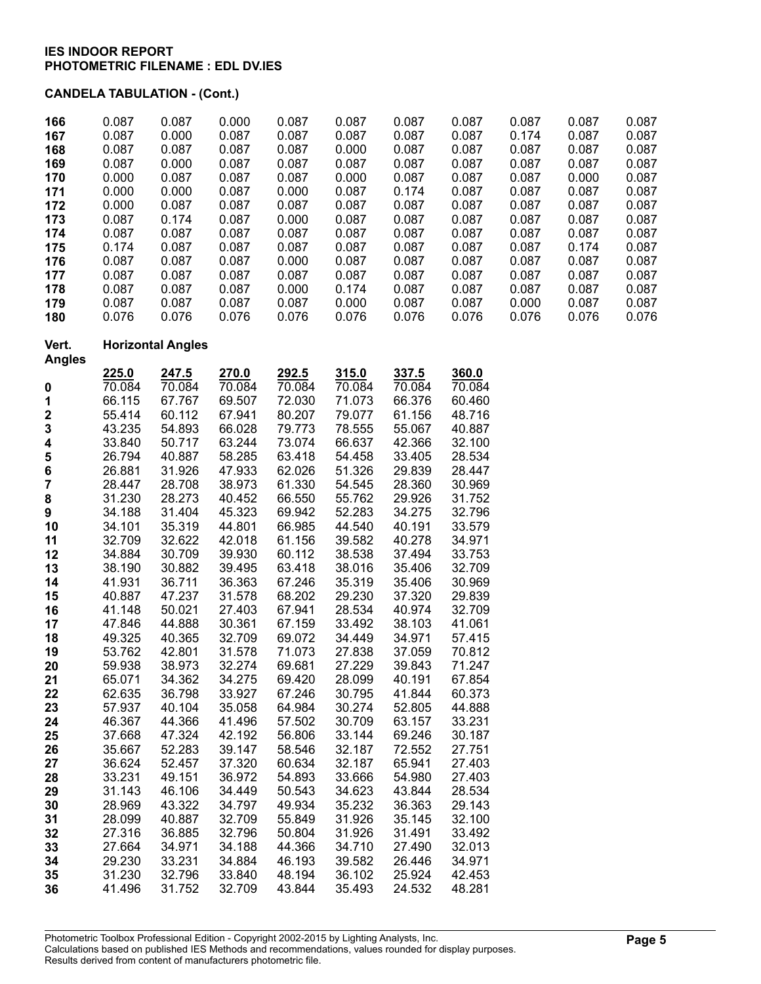| 166<br>167              | 0.087<br>0.087   | 0.087<br>0.000           | 0.000<br>0.087   | 0.087<br>0.087   | 0.087<br>0.087   | 0.087<br>0.087   | 0.087<br>0.087   | 0.087<br>0.174 | 0.087<br>0.087 | 0.087<br>0.087 |
|-------------------------|------------------|--------------------------|------------------|------------------|------------------|------------------|------------------|----------------|----------------|----------------|
| 168                     | 0.087            | 0.087                    | 0.087            | 0.087            | 0.000            | 0.087            | 0.087            | 0.087          | 0.087          | 0.087          |
| 169                     | 0.087            | 0.000                    | 0.087            | 0.087            | 0.087            | 0.087            | 0.087            | 0.087          | 0.087          | 0.087          |
| 170                     | 0.000            | 0.087                    | 0.087            | 0.087            | 0.000            | 0.087            | 0.087            | 0.087          | 0.000          | 0.087          |
| 171                     | 0.000            | 0.000                    | 0.087            | 0.000            | 0.087            | 0.174            | 0.087            | 0.087          | 0.087          | 0.087          |
| 172                     | 0.000            | 0.087                    | 0.087            | 0.087            | 0.087            | 0.087            | 0.087            | 0.087          | 0.087          | 0.087          |
| 173                     | 0.087            | 0.174                    | 0.087            | 0.000            | 0.087            | 0.087            | 0.087            | 0.087          | 0.087          | 0.087          |
| 174                     | 0.087            | 0.087                    | 0.087            | 0.087            | 0.087            | 0.087            | 0.087            | 0.087          | 0.087          | 0.087          |
| 175                     | 0.174<br>0.087   | 0.087<br>0.087           | 0.087<br>0.087   | 0.087<br>0.000   | 0.087<br>0.087   | 0.087<br>0.087   | 0.087<br>0.087   | 0.087<br>0.087 | 0.174<br>0.087 | 0.087<br>0.087 |
| 176<br>177              | 0.087            | 0.087                    | 0.087            | 0.087            | 0.087            | 0.087            | 0.087            | 0.087          | 0.087          | 0.087          |
| 178                     | 0.087            | 0.087                    | 0.087            | 0.000            | 0.174            | 0.087            | 0.087            | 0.087          | 0.087          | 0.087          |
| 179                     | 0.087            | 0.087                    | 0.087            | 0.087            | 0.000            | 0.087            | 0.087            | 0.000          | 0.087          | 0.087          |
| 180                     | 0.076            | 0.076                    | 0.076            | 0.076            | 0.076            | 0.076            | 0.076            | 0.076          | 0.076          | 0.076          |
| Vert.<br><b>Angles</b>  |                  | <b>Horizontal Angles</b> |                  |                  |                  |                  |                  |                |                |                |
|                         | 225.0            | 247.5                    | 270.0            | 292.5            | 315.0            | 337.5            | 360.0            |                |                |                |
| 0                       | 70.084           | 70.084                   | 70.084           | 70.084           | 70.084           | 70.084           | 70.084           |                |                |                |
| 1                       | 66.115           | 67.767                   | 69.507           | 72.030           | 71.073           | 66.376           | 60.460           |                |                |                |
| $\overline{\mathbf{c}}$ | 55.414           | 60.112                   | 67.941           | 80.207           | 79.077           | 61.156           | 48.716           |                |                |                |
| 3                       | 43.235           | 54.893                   | 66.028           | 79.773           | 78.555           | 55.067           | 40.887           |                |                |                |
| 4                       | 33.840           | 50.717                   | 63.244           | 73.074           | 66.637           | 42.366           | 32.100           |                |                |                |
| 5                       | 26.794           | 40.887                   | 58.285           | 63.418           | 54.458           | 33.405           | 28.534           |                |                |                |
| 6                       | 26.881           | 31.926                   | 47.933           | 62.026           | 51.326           | 29.839           | 28.447           |                |                |                |
| 7                       | 28.447           | 28.708                   | 38.973           | 61.330           | 54.545           | 28.360           | 30.969           |                |                |                |
| 8                       | 31.230<br>34.188 | 28.273<br>31.404         | 40.452<br>45.323 | 66.550<br>69.942 | 55.762<br>52.283 | 29.926<br>34.275 | 31.752<br>32.796 |                |                |                |
| 9<br>10                 | 34.101           | 35.319                   | 44.801           | 66.985           | 44.540           | 40.191           | 33.579           |                |                |                |
| 11                      | 32.709           | 32.622                   | 42.018           | 61.156           | 39.582           | 40.278           | 34.971           |                |                |                |
| 12                      | 34.884           | 30.709                   | 39.930           | 60.112           | 38.538           | 37.494           | 33.753           |                |                |                |
| 13                      | 38.190           | 30.882                   | 39.495           | 63.418           | 38.016           | 35.406           | 32.709           |                |                |                |
| 14                      | 41.931           | 36.711                   | 36.363           | 67.246           | 35.319           | 35.406           | 30.969           |                |                |                |
| 15                      | 40.887           | 47.237                   | 31.578           | 68.202           | 29.230           | 37.320           | 29.839           |                |                |                |
| 16                      | 41.148           | 50.021                   | 27.403           | 67.941           | 28.534           | 40.974           | 32.709           |                |                |                |
| 17                      | 47.846           | 44.888                   | 30.361           | 67.159           | 33.492           | 38.103           | 41.061           |                |                |                |
| 18                      | 49.325           | 40.365                   | 32.709           | 69.072           | 34.449           | 34.971           | 57.415           |                |                |                |
| 19                      | 53.762           | 42.801                   | 31.578           | 71.073           | 27.838           | 37.059           | 70.812           |                |                |                |
| 20                      | 59.938           | 38.973                   | 32.274           | 69.681           | 27.229           | 39.843           | 71.247           |                |                |                |
| 21                      | 65.071           | 34.362                   | 34.275           | 69.420           | 28.099           | 40.191           | 67.854           |                |                |                |
| 22                      | 62.635           | 36.798                   | 33.927           | 67.246           | 30.795           | 41.844           | 60.373           |                |                |                |
| 23                      | 57.937           | 40.104                   | 35.058           | 64.984           | 30.274           | 52.805           | 44.888           |                |                |                |
| 24                      | 46.367           | 44.366                   | 41.496           | 57.502           | 30.709           | 63.157           | 33.231           |                |                |                |
| 25                      | 37.668           | 47.324                   | 42.192           | 56.806           | 33.144           | 69.246           | 30.187           |                |                |                |
| 26                      | 35.667           | 52.283                   | 39.147           | 58.546           | 32.187           | 72.552           | 27.751           |                |                |                |
| 27                      | 36.624           | 52.457                   | 37.320           | 60.634           | 32.187           | 65.941           | 27.403           |                |                |                |
| 28                      | 33.231           | 49.151                   | 36.972           | 54.893           | 33.666           | 54.980           | 27.403           |                |                |                |
| 29                      | 31.143           | 46.106                   | 34.449           | 50.543           | 34.623           | 43.844           | 28.534           |                |                |                |
| 30                      | 28.969           | 43.322                   | 34.797           | 49.934           | 35.232           | 36.363           | 29.143           |                |                |                |
| 31                      | 28.099           | 40.887                   | 32.709           | 55.849           | 31.926           | 35.145           | 32.100           |                |                |                |
| 32                      | 27.316           | 36.885                   | 32.796           | 50.804           | 31.926           | 31.491           | 33.492           |                |                |                |
| 33                      | 27.664           | 34.971                   | 34.188           | 44.366           | 34.710           | 27.490           | 32.013           |                |                |                |
| 34                      | 29.230           | 33.231                   | 34.884           | 46.193<br>48.194 | 39.582           | 26.446           | 34.971           |                |                |                |
| 35                      | 31.230           | 32.796                   | 33.840           |                  | 36.102           | 25.924           | 42.453           |                |                |                |
| 36                      | 41.496           | 31.752                   | 32.709           | 43.844           | 35.493           | 24.532           | 48.281           |                |                |                |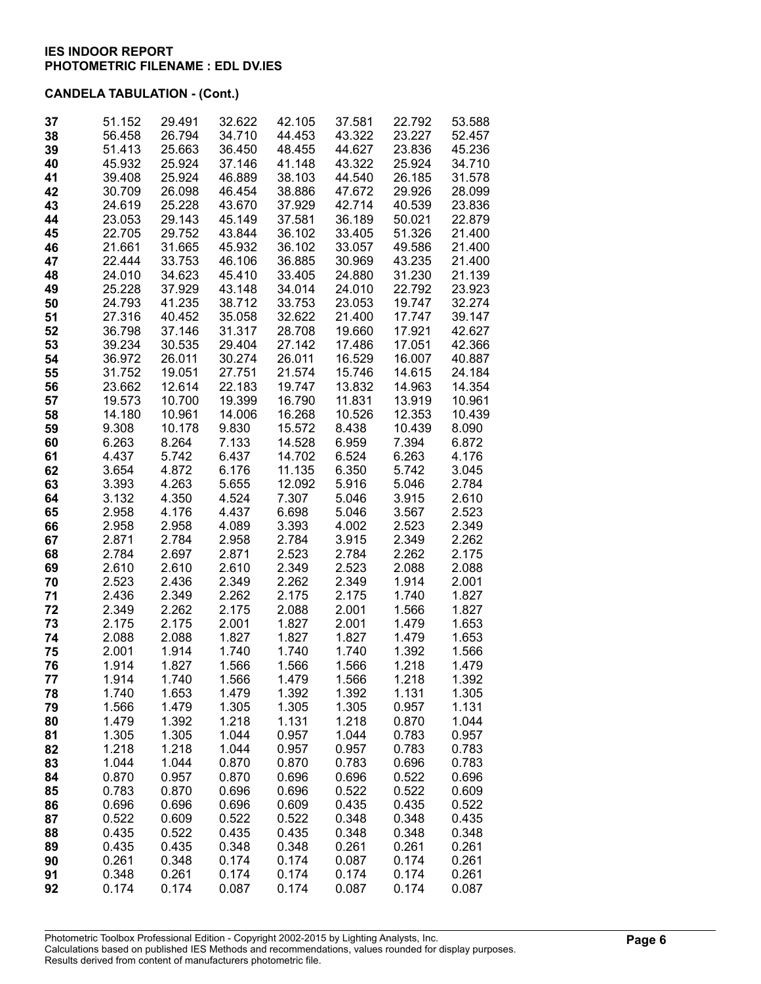| 37       | 51.152           | 29.491           | 32.622           | 42.105           | 37.581           | 22.792           | 53.588           |
|----------|------------------|------------------|------------------|------------------|------------------|------------------|------------------|
| 38       | 56.458<br>51.413 | 26.794<br>25.663 | 34.710<br>36.450 | 44.453<br>48.455 | 43.322<br>44.627 | 23.227<br>23.836 | 52.457<br>45.236 |
| 39<br>40 | 45.932           | 25.924           | 37.146           | 41.148           | 43.322           | 25.924           | 34.710           |
| 41       | 39.408           | 25.924           | 46.889           | 38.103           | 44.540           | 26.185           | 31.578           |
| 42       | 30.709           | 26.098           | 46.454           | 38.886           | 47.672           | 29.926           | 28.099           |
| 43       | 24.619           | 25.228           | 43.670           | 37.929           | 42.714           | 40.539           | 23.836           |
| 44       | 23.053           | 29.143           | 45.149           | 37.581           | 36.189           | 50.021           | 22.879           |
| 45       | 22.705           | 29.752           | 43.844           | 36.102           | 33.405           | 51.326           | 21.400           |
| 46       | 21.661           | 31.665           | 45.932           | 36.102           | 33.057           | 49.586           | 21.400           |
| 47       | 22.444           | 33.753           | 46.106           | 36.885           | 30.969           | 43.235           | 21.400           |
| 48       | 24.010           | 34.623           | 45.410           | 33.405           | 24.880           | 31.230           | 21.139           |
| 49       | 25.228           | 37.929           | 43.148           | 34.014           | 24.010           | 22.792           | 23.923           |
| 50       | 24.793           | 41.235           | 38.712           | 33.753           | 23.053           | 19.747           | 32.274           |
| 51       | 27.316           | 40.452           | 35.058           | 32.622           | 21.400           | 17.747           | 39.147           |
| 52       | 36.798           | 37.146           | 31.317           | 28.708           | 19.660           | 17.921           | 42.627           |
| 53       | 39.234           | 30.535           | 29.404           | 27.142           | 17.486           | 17.051           | 42.366           |
| 54       | 36.972           | 26.011           | 30.274           | 26.011           | 16.529           | 16.007           | 40.887           |
| 55       | 31.752           | 19.051           | 27.751           | 21.574           | 15.746           | 14.615           | 24.184           |
| 56       | 23.662           | 12.614           | 22.183           | 19.747           | 13.832           | 14.963           | 14.354           |
| 57       | 19.573           | 10.700           | 19.399           | 16.790           | 11.831           | 13.919           | 10.961           |
| 58       | 14.180           | 10.961           | 14.006           | 16.268           | 10.526           | 12.353           | 10.439           |
| 59       | 9.308            | 10.178           | 9.830            | 15.572           | 8.438            | 10.439           | 8.090            |
| 60       | 6.263            | 8.264            | 7.133            | 14.528           | 6.959            | 7.394            | 6.872            |
| 61       | 4.437            | 5.742            | 6.437            | 14.702           | 6.524            | 6.263            | 4.176            |
| 62       | 3.654            | 4.872            | 6.176            | 11.135           | 6.350            | 5.742            | 3.045            |
| 63       | 3.393<br>3.132   | 4.263<br>4.350   | 5.655<br>4.524   | 12.092<br>7.307  | 5.916<br>5.046   | 5.046<br>3.915   | 2.784<br>2.610   |
| 64<br>65 | 2.958            | 4.176            | 4.437            | 6.698            | 5.046            | 3.567            | 2.523            |
| 66       | 2.958            | 2.958            | 4.089            | 3.393            | 4.002            | 2.523            | 2.349            |
| 67       | 2.871            | 2.784            | 2.958            | 2.784            | 3.915            | 2.349            | 2.262            |
| 68       | 2.784            | 2.697            | 2.871            | 2.523            | 2.784            | 2.262            | 2.175            |
| 69       | 2.610            | 2.610            | 2.610            | 2.349            | 2.523            | 2.088            | 2.088            |
| 70       | 2.523            | 2.436            | 2.349            | 2.262            | 2.349            | 1.914            | 2.001            |
| 71       | 2.436            | 2.349            | 2.262            | 2.175            | 2.175            | 1.740            | 1.827            |
| 72       | 2.349            | 2.262            | 2.175            | 2.088            | 2.001            | 1.566            | 1.827            |
| 73       | 2.175            | 2.175            | 2.001            | 1.827            | 2.001            | 1.479            | 1.653            |
| 74       | 2.088            | 2.088            | 1.827            | 1.827            | 1.827            | 1.479            | 1.653            |
| 75       | 2.001            | 1.914            | 1.740            | 1.740            | 1.740            | 1.392            | 1.566            |
| 76       | 1.914            | 1.827            | 1.566            | 1.566            | 1.566            | 1.218            | 1.479            |
| 77       | 1.914            | 1.740            | 1.566            | 1.479            | 1.566            | 1.218            | 1.392            |
| 78       | 1.740            | 1.653            | 1.479            | 1.392            | 1.392            | 1.131            | 1.305            |
| 79       | 1.566            | 1.479            | 1.305<br>1.218   | 1.305            | 1.305<br>1.218   | 0.957            | 1.131<br>1.044   |
| 80<br>81 | 1.479<br>1.305   | 1.392<br>1.305   | 1.044            | 1.131<br>0.957   | 1.044            | 0.870<br>0.783   | 0.957            |
| 82       | 1.218            | 1.218            | 1.044            | 0.957            | 0.957            | 0.783            | 0.783            |
| 83       | 1.044            | 1.044            | 0.870            | 0.870            | 0.783            | 0.696            | 0.783            |
| 84       | 0.870            | 0.957            | 0.870            | 0.696            | 0.696            | 0.522            | 0.696            |
| 85       | 0.783            | 0.870            | 0.696            | 0.696            | 0.522            | 0.522            | 0.609            |
| 86       | 0.696            | 0.696            | 0.696            | 0.609            | 0.435            | 0.435            | 0.522            |
| 87       | 0.522            | 0.609            | 0.522            | 0.522            | 0.348            | 0.348            | 0.435            |
| 88       | 0.435            | 0.522            | 0.435            | 0.435            | 0.348            | 0.348            | 0.348            |
| 89       | 0.435            | 0.435            | 0.348            | 0.348            | 0.261            | 0.261            | 0.261            |
| 90       | 0.261            | 0.348            | 0.174            | 0.174            | 0.087            | 0.174            | 0.261            |
| 91       | 0.348            | 0.261            | 0.174            | 0.174            | 0.174            | 0.174            | 0.261            |
| 92       | 0.174            | 0.174            | 0.087            | 0.174            | 0.087            | 0.174            | 0.087            |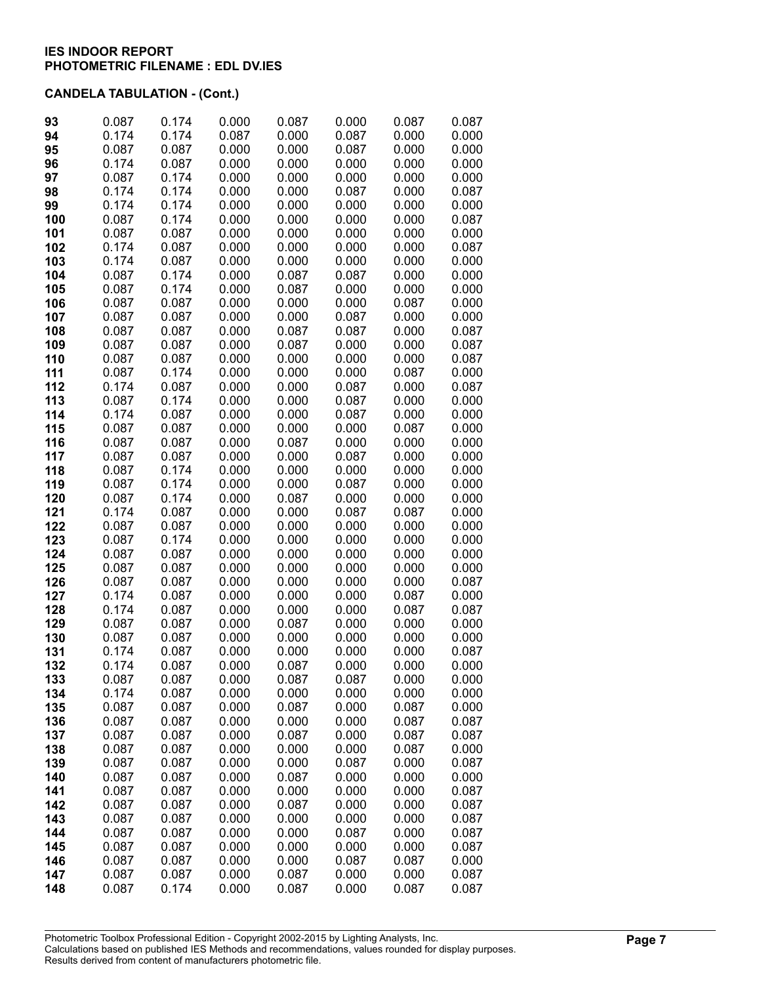| 93         | 0.087          | 0.174          | 0.000          | 0.087          | 0.000          | 0.087          | 0.087          |
|------------|----------------|----------------|----------------|----------------|----------------|----------------|----------------|
| 94         | 0.174          | 0.174          | 0.087          | 0.000          | 0.087          | 0.000          | 0.000          |
| 95         | 0.087          | 0.087          | 0.000          | 0.000          | 0.087          | 0.000          | 0.000          |
| 96         | 0.174          | 0.087          | 0.000          | 0.000          | 0.000          | 0.000          | 0.000          |
| 97         | 0.087          | 0.174          | 0.000          | 0.000          | 0.000          | 0.000          | 0.000          |
| 98         | 0.174          | 0.174          | 0.000          | 0.000          | 0.087          | 0.000          | 0.087          |
| 99         | 0.174          | 0.174          | 0.000          | 0.000          | 0.000          | 0.000          | 0.000          |
| 100        | 0.087          | 0.174          | 0.000          | 0.000          | 0.000          | 0.000          | 0.087          |
| 101        | 0.087          | 0.087          | 0.000          | 0.000          | 0.000          | 0.000          | 0.000          |
| 102        | 0.174          | 0.087          | 0.000          | 0.000          | 0.000          | 0.000          | 0.087          |
| 103        | 0.174          | 0.087          | 0.000          | 0.000          | 0.000          | 0.000          | 0.000          |
|            | 0.087          | 0.174          | 0.000          | 0.087          | 0.087          | 0.000          | 0.000          |
| 104<br>105 | 0.087          | 0.174          | 0.000          | 0.087          | 0.000          | 0.000          | 0.000          |
|            | 0.087          |                | 0.000          | 0.000          | 0.000          | 0.087          | 0.000          |
| 106        |                | 0.087<br>0.087 | 0.000          | 0.000          |                |                |                |
| 107        | 0.087          |                |                |                | 0.087          | 0.000          | 0.000          |
| 108        | 0.087          | 0.087          | 0.000          | 0.087          | 0.087          | 0.000          | 0.087          |
| 109        | 0.087          | 0.087          | 0.000          | 0.087          | 0.000          | 0.000          | 0.087          |
| 110        | 0.087          | 0.087          | 0.000          | 0.000          | 0.000          | 0.000          | 0.087          |
| 111        | 0.087          | 0.174          | 0.000          | 0.000          | 0.000          | 0.087          | 0.000          |
| 112        | 0.174          | 0.087          | 0.000          | 0.000          | 0.087          | 0.000          | 0.087          |
| 113        | 0.087          | 0.174          | 0.000          | 0.000          | 0.087          | 0.000          | 0.000          |
| 114        | 0.174          | 0.087          | 0.000          | 0.000          | 0.087          | 0.000          | 0.000          |
| 115        | 0.087          | 0.087          | 0.000          | 0.000          | 0.000          | 0.087          | 0.000          |
| 116        | 0.087          | 0.087          | 0.000          | 0.087          | 0.000          | 0.000          | 0.000          |
| 117        | 0.087          | 0.087          | 0.000          | 0.000          | 0.087          | 0.000          | 0.000          |
| 118        | 0.087          | 0.174          | 0.000          | 0.000          | 0.000          | 0.000          | 0.000          |
| 119        | 0.087          | 0.174          | 0.000          | 0.000          | 0.087          | 0.000          | 0.000          |
| 120        | 0.087          | 0.174          | 0.000          | 0.087          | 0.000          | 0.000          | 0.000          |
| 121        | 0.174          | 0.087          | 0.000          | 0.000          | 0.087          | 0.087          | 0.000          |
| 122        | 0.087          | 0.087          | 0.000          | 0.000          | 0.000          | 0.000          | 0.000          |
| 123        | 0.087          | 0.174          | 0.000          | 0.000          | 0.000          | 0.000          | 0.000          |
| 124        | 0.087          | 0.087          | 0.000<br>0.000 | 0.000          | 0.000          | 0.000          | 0.000          |
| 125<br>126 | 0.087<br>0.087 | 0.087<br>0.087 | 0.000          | 0.000<br>0.000 | 0.000<br>0.000 | 0.000<br>0.000 | 0.000<br>0.087 |
| 127        | 0.174          | 0.087          | 0.000          | 0.000          | 0.000          | 0.087          | 0.000          |
| 128        | 0.174          | 0.087          | 0.000          | 0.000          | 0.000          | 0.087          | 0.087          |
| 129        | 0.087          | 0.087          | 0.000          | 0.087          | 0.000          | 0.000          | 0.000          |
| 130        | 0.087          | 0.087          | 0.000          | 0.000          | 0.000          | 0.000          | 0.000          |
| 131        | 0.174          | 0.087          | 0.000          | 0.000          | 0.000          | 0.000          | 0.087          |
| 132        | 0.174          | 0.087          | 0.000          | 0.087          | 0.000          | 0.000          | 0.000          |
| 133        | 0.087          | 0.087          | 0.000          | 0.087          | 0.087          | 0.000          | 0.000          |
| 134        | 0.174          | 0.087          | 0.000          | 0.000          | 0.000          | 0.000          | 0.000          |
| 135        | 0.087          | 0.087          | 0.000          | 0.087          | 0.000          | 0.087          | 0.000          |
| 136        | 0.087          | 0.087          | 0.000          | 0.000          | 0.000          | 0.087          | 0.087          |
| 137        | 0.087          | 0.087          | 0.000          | 0.087          | 0.000          | 0.087          | 0.087          |
| 138        | 0.087          | 0.087          | 0.000          | 0.000          | 0.000          | 0.087          | 0.000          |
| 139        | 0.087          | 0.087          | 0.000          | 0.000          | 0.087          | 0.000          | 0.087          |
| 140        | 0.087          | 0.087          | 0.000          | 0.087          | 0.000          | 0.000          | 0.000          |
| 141        | 0.087          | 0.087          | 0.000          | 0.000          | 0.000          | 0.000          | 0.087          |
| 142        | 0.087          | 0.087          | 0.000          | 0.087          | 0.000          | 0.000          | 0.087          |
| 143        | 0.087          | 0.087          | 0.000          | 0.000          | 0.000          | 0.000          | 0.087          |
| 144        | 0.087          | 0.087          | 0.000          | 0.000          | 0.087          | 0.000          | 0.087          |
| 145        | 0.087          | 0.087          | 0.000          | 0.000          | 0.000          | 0.000          | 0.087          |
| 146        | 0.087          | 0.087          | 0.000          | 0.000          | 0.087          | 0.087          | 0.000          |
| 147        | 0.087          | 0.087          | 0.000          | 0.087          | 0.000          | 0.000          | 0.087          |
| 148        | 0.087          | 0.174          | 0.000          | 0.087          | 0.000          | 0.087          | 0.087          |
|            |                |                |                |                |                |                |                |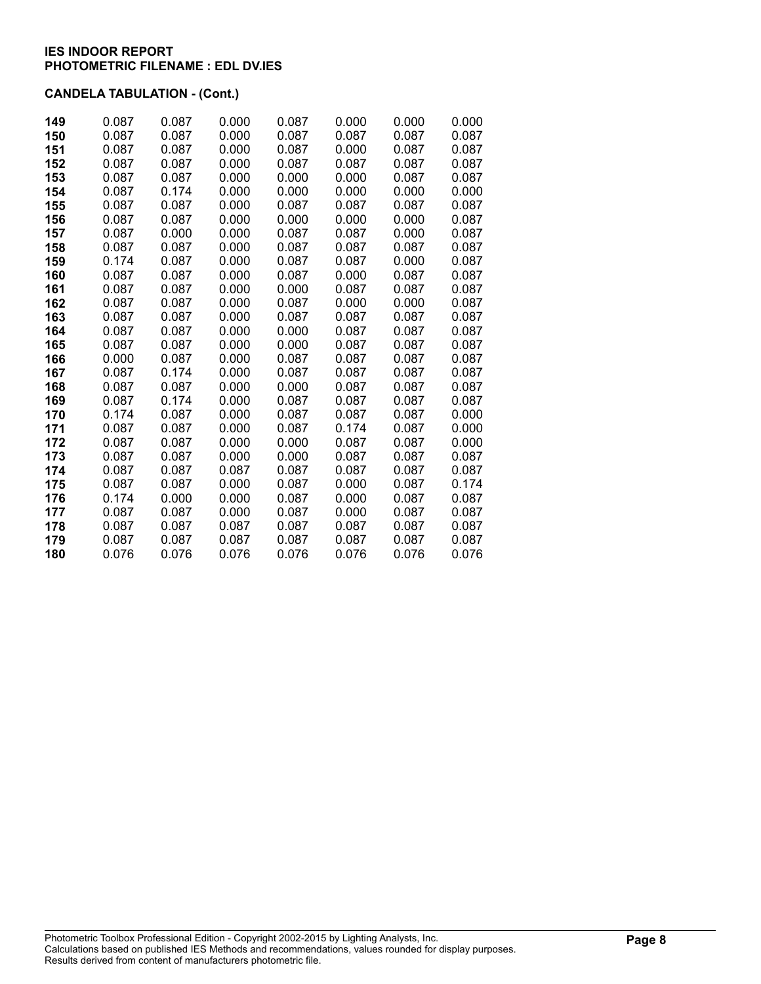| 149 | 0.087 | 0.087 | 0.000 | 0.087 | 0.000 | 0.000 | 0.000 |
|-----|-------|-------|-------|-------|-------|-------|-------|
| 150 | 0.087 | 0.087 | 0.000 | 0.087 | 0.087 | 0.087 | 0.087 |
| 151 | 0.087 | 0.087 | 0.000 | 0.087 | 0.000 | 0.087 | 0.087 |
| 152 | 0.087 | 0.087 | 0.000 | 0.087 | 0.087 | 0.087 | 0.087 |
| 153 | 0.087 | 0.087 | 0.000 | 0.000 | 0.000 | 0.087 | 0.087 |
| 154 | 0.087 | 0.174 | 0.000 | 0.000 | 0.000 | 0.000 | 0.000 |
| 155 | 0.087 | 0.087 | 0.000 | 0.087 | 0.087 | 0.087 | 0.087 |
| 156 | 0.087 | 0.087 | 0.000 | 0.000 | 0.000 | 0.000 | 0.087 |
| 157 | 0.087 | 0.000 | 0.000 | 0.087 | 0.087 | 0.000 | 0.087 |
| 158 | 0.087 | 0.087 | 0.000 | 0.087 | 0.087 | 0.087 | 0.087 |
| 159 | 0.174 | 0.087 | 0.000 | 0.087 | 0.087 | 0.000 | 0.087 |
| 160 | 0.087 | 0.087 | 0.000 | 0.087 | 0.000 | 0.087 | 0.087 |
| 161 | 0.087 | 0.087 | 0.000 | 0.000 | 0.087 | 0.087 | 0.087 |
| 162 | 0.087 | 0.087 | 0.000 | 0.087 | 0.000 | 0.000 | 0.087 |
| 163 | 0.087 | 0.087 | 0.000 | 0.087 | 0.087 | 0.087 | 0.087 |
| 164 | 0.087 | 0.087 | 0.000 | 0.000 | 0.087 | 0.087 | 0.087 |
| 165 | 0.087 | 0.087 | 0.000 | 0.000 | 0.087 | 0.087 | 0.087 |
| 166 | 0.000 | 0.087 | 0.000 | 0.087 | 0.087 | 0.087 | 0.087 |
| 167 | 0.087 | 0.174 | 0.000 | 0.087 | 0.087 | 0.087 | 0.087 |
| 168 | 0.087 | 0.087 | 0.000 | 0.000 | 0.087 | 0.087 | 0.087 |
| 169 | 0.087 | 0.174 | 0.000 | 0.087 | 0.087 | 0.087 | 0.087 |
| 170 | 0.174 | 0.087 | 0.000 | 0.087 | 0.087 | 0.087 | 0.000 |
| 171 | 0.087 | 0.087 | 0.000 | 0.087 | 0.174 | 0.087 | 0.000 |
| 172 | 0.087 | 0.087 | 0.000 | 0.000 | 0.087 | 0.087 | 0.000 |
| 173 | 0.087 | 0.087 | 0.000 | 0.000 | 0.087 | 0.087 | 0.087 |
| 174 | 0.087 | 0.087 | 0.087 | 0.087 | 0.087 | 0.087 | 0.087 |
| 175 | 0.087 | 0.087 | 0.000 | 0.087 | 0.000 | 0.087 | 0.174 |
| 176 | 0.174 | 0.000 | 0.000 | 0.087 | 0.000 | 0.087 | 0.087 |
| 177 | 0.087 | 0.087 | 0.000 | 0.087 | 0.000 | 0.087 | 0.087 |
| 178 | 0.087 | 0.087 | 0.087 | 0.087 | 0.087 | 0.087 | 0.087 |
| 179 | 0.087 | 0.087 | 0.087 | 0.087 | 0.087 | 0.087 | 0.087 |
| 180 | 0.076 | 0.076 | 0.076 | 0.076 | 0.076 | 0.076 | 0.076 |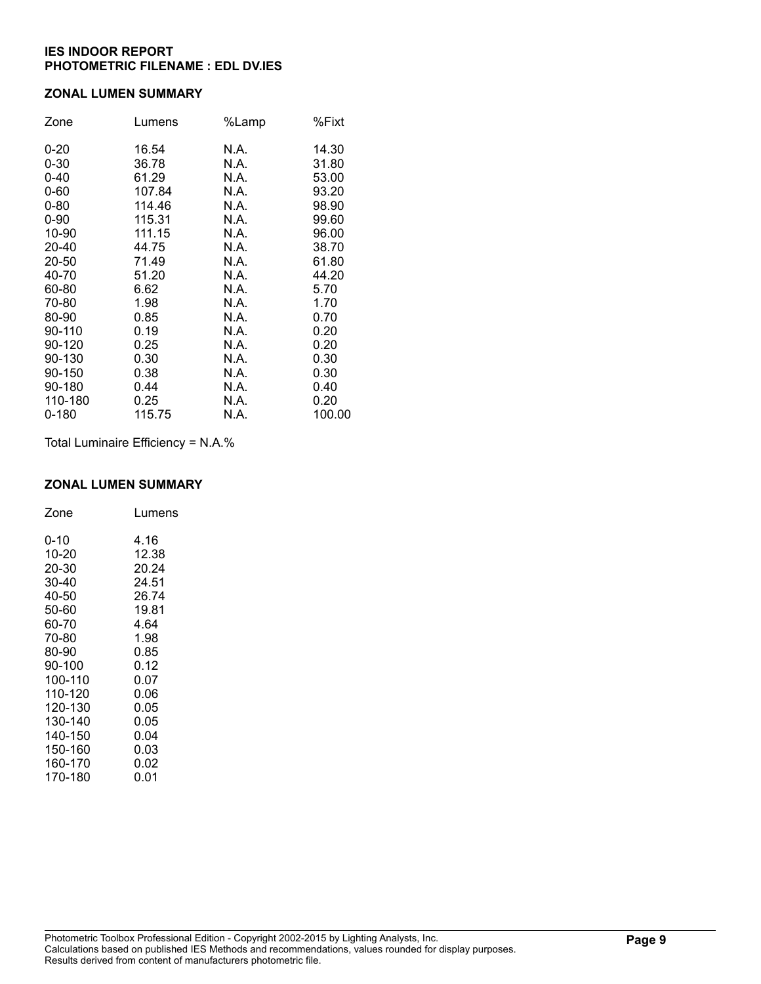### **ZONAL LUMEN SUMMARY**

| Zone      | Lumens | %Lamp | %Fixt  |
|-----------|--------|-------|--------|
| $0 - 20$  | 16.54  | N.A.  | 14.30  |
| $0 - 30$  | 36.78  | N.A.  | 31.80  |
| $0 - 40$  | 61.29  | N.A.  | 53.00  |
| $0 - 60$  | 107.84 | N.A.  | 93.20  |
| $0 - 80$  | 114.46 | N.A.  | 98.90  |
| $0 - 90$  | 115.31 | N.A.  | 99.60  |
| 10-90     | 111.15 | N.A.  | 96.00  |
| 20-40     | 44.75  | N.A.  | 38.70  |
| 20-50     | 71.49  | N.A.  | 61.80  |
| 40-70     | 51.20  | N.A.  | 44.20  |
| 60-80     | 6.62   | N.A.  | 5.70   |
| 70-80     | 1.98   | N.A.  | 1.70   |
| 80-90     | 0.85   | N.A.  | 0.70   |
| 90-110    | 0.19   | N.A.  | 0.20   |
| 90-120    | 0.25   | N.A.  | 0.20   |
| 90-130    | 0.30   | N.A.  | 0.30   |
| 90-150    | 0.38   | N.A.  | 0.30   |
| 90-180    | 0.44   | N.A.  | 0.40   |
| 110-180   | 0.25   | N.A.  | 0.20   |
| $0 - 180$ | 115.75 | N.A.  | 100.00 |

Total Luminaire Efficiency = N.A.%

#### **ZONAL LUMEN SUMMARY**

| Zone    | Lumens |
|---------|--------|
| 0-10    | 4.16   |
| 10-20   | 12.38  |
| 20-30   | 20.24  |
| 30-40   | 24.51  |
| 40-50   | 26.74  |
| 50-60   | 19.81  |
| 60-70   | 4.64   |
| 70-80   | 1.98   |
| 80-90   | 0.85   |
| 90-100  | 0.12   |
| 100-110 | 0.07   |
| 110-120 | 0.06   |
| 120-130 | 0.05   |
| 130-140 | 0.05   |
| 140-150 | 0.04   |
| 150-160 | 0.03   |
| 160-170 | 0.02   |
| 170-180 | 0.01   |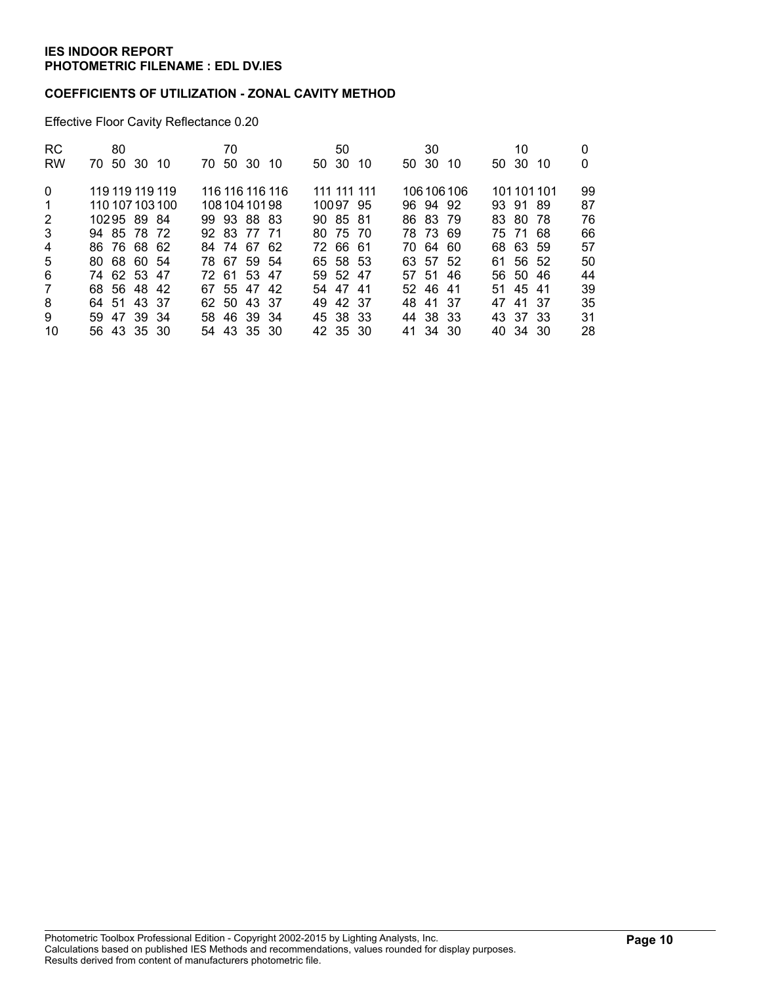### **COEFFICIENTS OF UTILIZATION - ZONAL CAVITY METHOD**

Effective Floor Cavity Reflectance 0.20

| <b>RC</b>    | 80              | 70              | 50           | 30           | 10            |          |
|--------------|-----------------|-----------------|--------------|--------------|---------------|----------|
| <b>RW</b>    | 70 50 30 10     | 70 50 30 10     | 50 30<br>-10 | 50 30<br>-10 | 50 30<br>- 10 | $\Omega$ |
| $\Omega$     | 119 119 119 119 | 116 116 116 116 | 111 111 111  | 106 106 106  | 101101101     | 99       |
| $\mathbf{1}$ | 110 107 103 100 | 108 104 101 98  | 10097 95     | 96 94 92     | 93 91 89      | 87       |
| 2            | 10295 89 84     | 99 93 88 83     | 90 85 81     | 86 83 79     | 83 80 78      | 76       |
| 3            | 94 85 78 72     | 92 83 77 71     | 80 75 70     | 78 73 69     | 75 71 68      | 66       |
| 4            | 86 76 68 62     | 84 74 67 62     | 72 66 61     | 70 64 60     | 68 63 59      | 57       |
| 5            | 80 68 60 54     | 78 67 59 54     | 65 58 53     | 63 57 52     | 61 56 52      | 50       |
| 6            | 74 62 53 47     | 72 61 53 47     | 59 52 47     | 57 51 46     | 56 50 46      | 44       |
| $7^{\circ}$  | 68 56 48 42     | 67 55 47 42     | 54 47 41     | 52 46 41     | 51 45 41      | 39       |
| 8            | 64 51 43 37     | 62 50 43 37     | 49 42 37     | 48 41 37     | 47 41 37      | 35       |
| 9            | 59 47 39 34     | 58 46 39 34     | 45 38 33     | 44 38 33     | 43 37 33      | 31       |
| 10           | 56 43 35 30     | 54 43 35 30     | 42 35 30     | 41 34 30     | 40 34 30      | 28       |